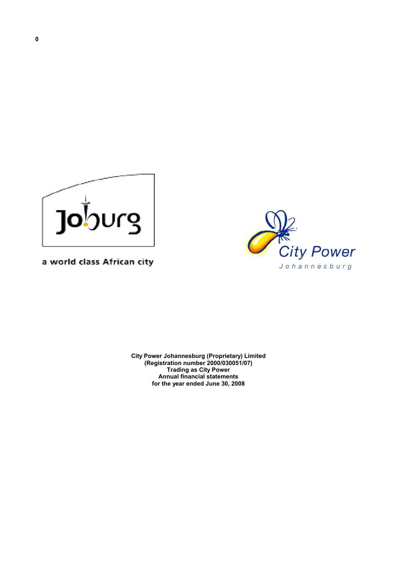

**City Power** Johannesburg

a world class African city

**City Power Johannesburg (Proprietary) Limited (Registration number 2000/030051/07) Trading as City Power Annual financial statements for the year ended June 30, 2008**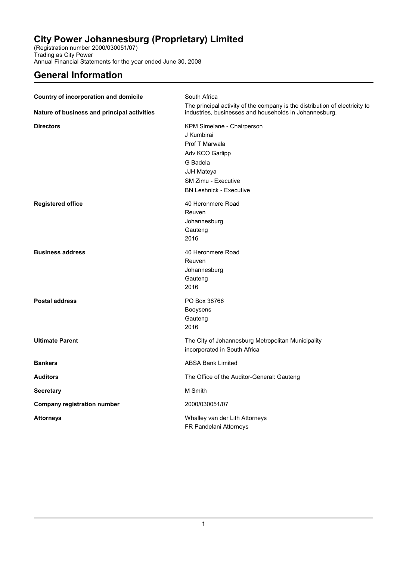(Registration number 2000/030051/07) Trading as City Power Annual Financial Statements for the year ended June 30, 2008

# **General Information**

| <b>Country of incorporation and domicile</b> | South Africa                                                                                                                                                            |
|----------------------------------------------|-------------------------------------------------------------------------------------------------------------------------------------------------------------------------|
| Nature of business and principal activities  | The principal activity of the company is the distribution of electricity to<br>industries, businesses and households in Johannesburg.                                   |
| <b>Directors</b>                             | KPM Simelane - Chairperson<br>J Kumbirai<br>Prof T Marwala<br>Adv KCO Garlipp<br>G Badela<br>JJH Mateya<br><b>SM Zimu - Executive</b><br><b>BN Leshnick - Executive</b> |
| <b>Registered office</b>                     | 40 Heronmere Road<br>Reuven<br>Johannesburg<br>Gauteng<br>2016                                                                                                          |
| <b>Business address</b>                      | 40 Heronmere Road<br>Reuven<br>Johannesburg<br>Gauteng<br>2016                                                                                                          |
| <b>Postal address</b>                        | PO Box 38766<br>Booysens<br>Gauteng<br>2016                                                                                                                             |
| <b>Ultimate Parent</b>                       | The City of Johannesburg Metropolitan Municipality<br>incorporated in South Africa                                                                                      |
| <b>Bankers</b>                               | <b>ABSA Bank Limited</b>                                                                                                                                                |
| <b>Auditors</b>                              | The Office of the Auditor-General: Gauteng                                                                                                                              |
| <b>Secretary</b>                             | M Smith                                                                                                                                                                 |
| <b>Company registration number</b>           | 2000/030051/07                                                                                                                                                          |
| <b>Attorneys</b>                             | Whalley van der Lith Attorneys<br>FR Pandelani Attorneys                                                                                                                |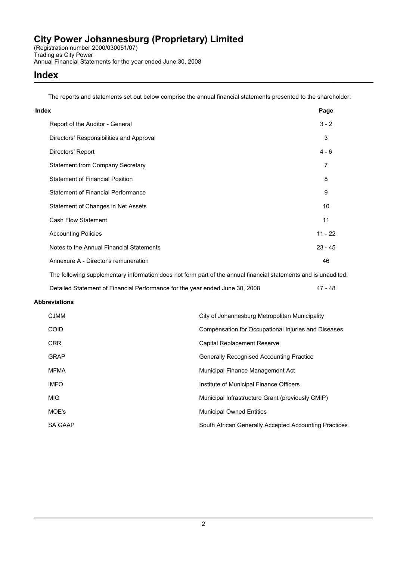(Registration number 2000/030051/07) Trading as City Power Annual Financial Statements for the year ended June 30, 2008

### **Index**

The reports and statements set out below comprise the annual financial statements presented to the shareholder:

| Index |                                                                                                                 |                                                       | Page           |
|-------|-----------------------------------------------------------------------------------------------------------------|-------------------------------------------------------|----------------|
|       | Report of the Auditor - General                                                                                 |                                                       | $3 - 2$        |
|       | Directors' Responsibilities and Approval                                                                        |                                                       | 3              |
|       | Directors' Report                                                                                               |                                                       | 4 - 6          |
|       | <b>Statement from Company Secretary</b>                                                                         |                                                       | $\overline{7}$ |
|       | <b>Statement of Financial Position</b>                                                                          |                                                       | 8              |
|       | <b>Statement of Financial Performance</b>                                                                       |                                                       | 9              |
|       | Statement of Changes in Net Assets                                                                              |                                                       | 10             |
|       | <b>Cash Flow Statement</b>                                                                                      |                                                       | 11             |
|       | <b>Accounting Policies</b>                                                                                      |                                                       | $11 - 22$      |
|       | Notes to the Annual Financial Statements                                                                        |                                                       | $23 - 45$      |
|       | Annexure A - Director's remuneration                                                                            |                                                       | 46             |
|       | The following supplementary information does not form part of the annual financial statements and is unaudited: |                                                       |                |
|       | Detailed Statement of Financial Performance for the year ended June 30, 2008                                    |                                                       | 47 - 48        |
|       | <b>Abbreviations</b>                                                                                            |                                                       |                |
|       | <b>CJMM</b>                                                                                                     | City of Johannesburg Metropolitan Municipality        |                |
|       | COID                                                                                                            | Compensation for Occupational Injuries and Diseases   |                |
|       | <b>CRR</b>                                                                                                      | <b>Capital Replacement Reserve</b>                    |                |
|       | <b>GRAP</b>                                                                                                     | <b>Generally Recognised Accounting Practice</b>       |                |
|       | <b>MFMA</b>                                                                                                     | Municipal Finance Management Act                      |                |
|       | <b>IMFO</b>                                                                                                     | Institute of Municipal Finance Officers               |                |
|       | <b>MIG</b>                                                                                                      | Municipal Infrastructure Grant (previously CMIP)      |                |
|       | MOE's                                                                                                           | <b>Municipal Owned Entities</b>                       |                |
|       | <b>SA GAAP</b>                                                                                                  | South African Generally Accepted Accounting Practices |                |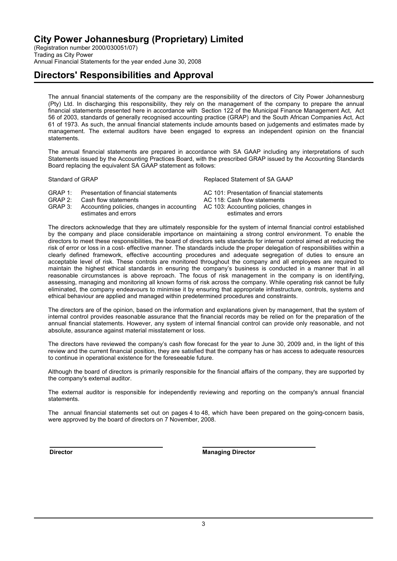(Registration number 2000/030051/07) Trading as City Power Annual Financial Statements for the year ended June 30, 2008

### **Directors' Responsibilities and Approval**

The annual financial statements of the company are the responsibility of the directors of City Power Johannesburg (Pty) Ltd. In discharging this responsibility, they rely on the management of the company to prepare the annual financial statements presented here in accordance with Section 122 of the Municipal Finance Management Act, Act 56 of 2003, standards of generally recognised accounting practice (GRAP) and the South African Companies Act, Act 61 of 1973. As such, the annual financial statements include amounts based on judgements and estimates made by management. The external auditors have been engaged to express an independent opinion on the financial statements.

The annual financial statements are prepared in accordance with SA GAAP including any interpretations of such Statements issued by the Accounting Practices Board, with the prescribed GRAP issued by the Accounting Standards Board replacing the equivalent SA GAAP statement as follows:

Standard of GRAP Replaced Statement of SA GAAP

- GRAP 1: Presentation of financial statements AC 101: Presentation of financial statements<br>GRAP 2: Cash flow statements AC 118: Cash flow statements
- 
- GRAP 2: Cash flow statements **AC 118: Cash flow statements**<br>GRAP 3: Accounting policies, changes in accounting AC 103: Accounting policies, changes in Accounting policies, changes in accounting estimates and errors estimates and errors

- 
- -

The directors acknowledge that they are ultimately responsible for the system of internal financial control established by the company and place considerable importance on maintaining a strong control environment. To enable the directors to meet these responsibilities, the board of directors sets standards for internal control aimed at reducing the risk of error or loss in a cost- effective manner. The standards include the proper delegation of responsibilities within a clearly defined framework, effective accounting procedures and adequate segregation of duties to ensure an acceptable level of risk. These controls are monitored throughout the company and all employees are required to maintain the highest ethical standards in ensuring the company's business is conducted in a manner that in all reasonable circumstances is above reproach. The focus of risk management in the company is on identifying, assessing, managing and monitoring all known forms of risk across the company. While operating risk cannot be fully eliminated, the company endeavours to minimise it by ensuring that appropriate infrastructure, controls, systems and ethical behaviour are applied and managed within predetermined procedures and constraints.

The directors are of the opinion, based on the information and explanations given by management, that the system of internal control provides reasonable assurance that the financial records may be relied on for the preparation of the annual financial statements. However, any system of internal financial control can provide only reasonable, and not absolute, assurance against material misstatement or loss.

The directors have reviewed the company's cash flow forecast for the year to June 30, 2009 and, in the light of this review and the current financial position, they are satisfied that the company has or has access to adequate resources to continue in operational existence for the foreseeable future.

Although the board of directors is primarily responsible for the financial affairs of the company, they are supported by the company's external auditor.

The external auditor is responsible for independently reviewing and reporting on the company's annual financial **statements** 

The annual financial statements set out on pages 4 to 48, which have been prepared on the going-concern basis, were approved by the board of directors on 7 November, 2008.

**Director Managing Director**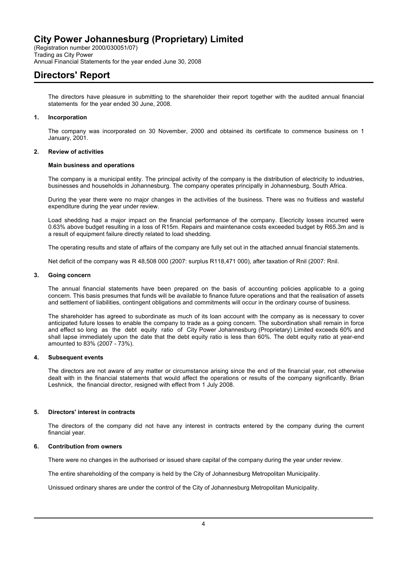(Registration number 2000/030051/07) Trading as City Power Annual Financial Statements for the year ended June 30, 2008

# **Directors' Report**

The directors have pleasure in submitting to the shareholder their report together with the audited annual financial statements for the year ended 30 June, 2008.

#### **1. Incorporation**

The company was incorporated on 30 November, 2000 and obtained its certificate to commence business on 1 January, 2001.

#### **2. Review of activities**

#### **Main business and operations**

The company is a municipal entity. The principal activity of the company is the distribution of electricity to industries, businesses and households in Johannesburg. The company operates principally in Johannesburg, South Africa.

During the year there were no major changes in the activities of the business. There was no fruitless and wasteful expenditure during the year under review.

Load shedding had a major impact on the financial performance of the company. Elecricity losses incurred were 0.63% above budget resulting in a loss of R15m. Repairs and maintenance costs exceeded budget by R65.3m and is a result of equipment failure directly related to load shedding.

The operating results and state of affairs of the company are fully set out in the attached annual financial statements.

Net deficit of the company was R 48,508 000 (2007: surplus R118,471 000), after taxation of Rnil (2007: Rnil.

#### **3. Going concern**

The annual financial statements have been prepared on the basis of accounting policies applicable to a going concern. This basis presumes that funds will be available to finance future operations and that the realisation of assets and settlement of liabilities, contingent obligations and commitments will occur in the ordinary course of business.

The shareholder has agreed to subordinate as much of its loan account with the company as is necessary to cover anticipated future losses to enable the company to trade as a going concern. The subordination shall remain in force and effect so long as the debt equity ratio of City Power Johannesburg (Proprietary) Limited exceeds 60% and shall lapse immediately upon the date that the debt equity ratio is less than 60%. The debt equity ratio at year-end amounted to 83% (2007 - 73%).

#### **4. Subsequent events**

The directors are not aware of any matter or circumstance arising since the end of the financial year, not otherwise dealt with in the financial statements that would affect the operations or results of the company significantly. Brian Leshnick, the financial director, resigned with effect from 1 July 2008.

### **5. Directors' interest in contracts**

The directors of the company did not have any interest in contracts entered by the company during the current financial year.

#### **6. Contribution from owners**

There were no changes in the authorised or issued share capital of the company during the year under review.

The entire shareholding of the company is held by the City of Johannesburg Metropolitan Municipality.

Unissued ordinary shares are under the control of the City of Johannesburg Metropolitan Municipality.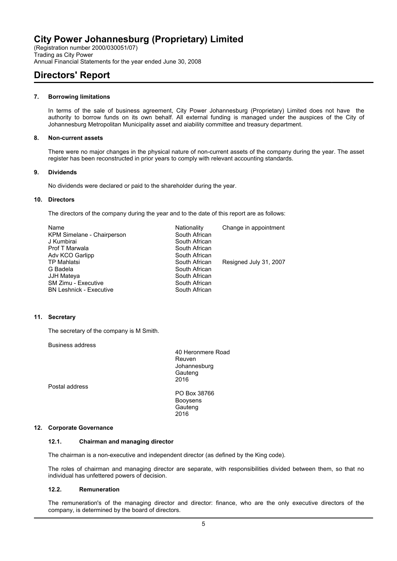(Registration number 2000/030051/07) Trading as City Power Annual Financial Statements for the year ended June 30, 2008

# **Directors' Report**

#### **7. Borrowing limitations**

In terms of the sale of business agreement, City Power Johannesburg (Proprietary) Limited does not have the authority to borrow funds on its own behalf. All external funding is managed under the auspices of the City of Johannesburg Metropolitan Municipality asset and aiability committee and treasury department.

#### **8. Non-current assets**

There were no major changes in the physical nature of non-current assets of the company during the year. The asset register has been reconstructed in prior years to comply with relevant accounting standards.

#### **9. Dividends**

No dividends were declared or paid to the shareholder during the year.

#### **10. Directors**

The directors of the company during the year and to the date of this report are as follows:

| Name<br>KPM Simelane - Chairperson<br>J Kumbirai<br>Prof T Marwala                     | Nationality<br>South African<br>South African<br>South African   | Change in appointment  |
|----------------------------------------------------------------------------------------|------------------------------------------------------------------|------------------------|
| Adv KCO Garlipp<br><b>TP Mahlatsi</b>                                                  | South African<br>South African                                   | Resigned July 31, 2007 |
| G Badela<br>JJH Mateya<br><b>SM Zimu - Executive</b><br><b>BN Leshnick - Executive</b> | South African<br>South African<br>South African<br>South African |                        |

### **11. Secretary**

The secretary of the company is M Smith.

Business address

40 Heronmere Road Reuven Johannesburg **Gauteng** 2016

Postal address

PO Box 38766 Booysens **Gauteng** 2016

#### **12. Corporate Governance**

#### **12.1. Chairman and managing director**

The chairman is a non-executive and independent director (as defined by the King code).

The roles of chairman and managing director are separate, with responsibilities divided between them, so that no individual has unfettered powers of decision.

#### **12.2. Remuneration**

The remuneration's of the managing director and director: finance, who are the only executive directors of the company, is determined by the board of directors.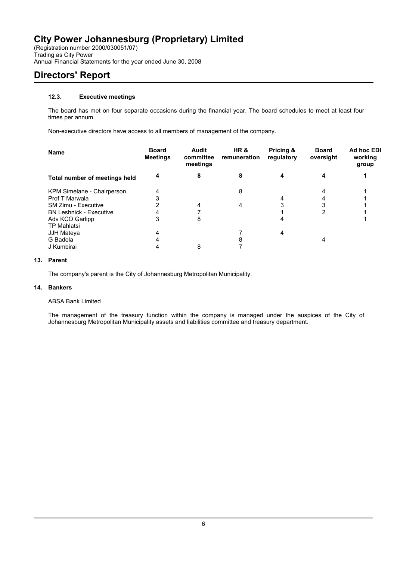(Registration number 2000/030051/07) Trading as City Power Annual Financial Statements for the year ended June 30, 2008

# **Directors' Report**

### **12.3. Executive meetings**

The board has met on four separate occasions during the financial year. The board schedules to meet at least four times per annum.

Non-executive directors have access to all members of management of the company.

| <b>Name</b>                    | <b>Board</b><br><b>Meetings</b> | <b>Audit</b><br>committee<br>meetings | HR&<br>remuneration | Pricing &<br>regulatory | <b>Board</b><br>oversight | Ad hoc EDI<br>working<br>group |
|--------------------------------|---------------------------------|---------------------------------------|---------------------|-------------------------|---------------------------|--------------------------------|
| Total number of meetings held  | 4                               |                                       | 8                   |                         |                           |                                |
| KPM Simelane - Chairperson     | 4                               |                                       | 8                   |                         |                           |                                |
| Prof T Marwala                 |                                 |                                       |                     |                         |                           |                                |
| <b>SM Zimu - Executive</b>     |                                 |                                       | 4                   |                         |                           |                                |
| <b>BN Leshnick - Executive</b> |                                 |                                       |                     |                         |                           |                                |
| Adv KCO Garlipp                | 3                               | 8                                     |                     |                         |                           |                                |
| <b>TP Mahlatsi</b>             |                                 |                                       |                     |                         |                           |                                |
| JJH Mateya                     | 4                               |                                       |                     | 4                       |                           |                                |
| G Badela                       |                                 |                                       |                     |                         | 4                         |                                |
| J Kumbirai                     |                                 | 8                                     |                     |                         |                           |                                |

#### **13. Parent**

The company's parent is the City of Johannesburg Metropolitan Municipality.

#### **14. Bankers**

#### ABSA Bank Limited

The management of the treasury function within the company is managed under the auspices of the City of Johannesburg Metropolitan Municipality assets and liabilities committee and treasury department.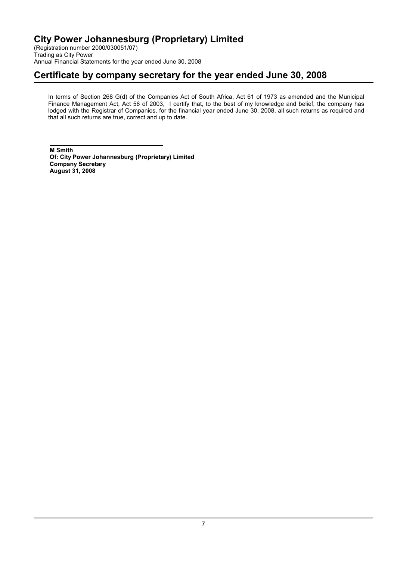(Registration number 2000/030051/07) Trading as City Power Annual Financial Statements for the year ended June 30, 2008

### **Certificate by company secretary for the year ended June 30, 2008**

In terms of Section 268 G(d) of the Companies Act of South Africa, Act 61 of 1973 as amended and the Municipal Finance Management Act, Act 56 of 2003, I certify that, to the best of my knowledge and belief, the company has lodged with the Registrar of Companies, for the financial year ended June 30, 2008, all such returns as required and that all such returns are true, correct and up to date.

**M Smith Of: City Power Johannesburg (Proprietary) Limited Company Secretary August 31, 2008**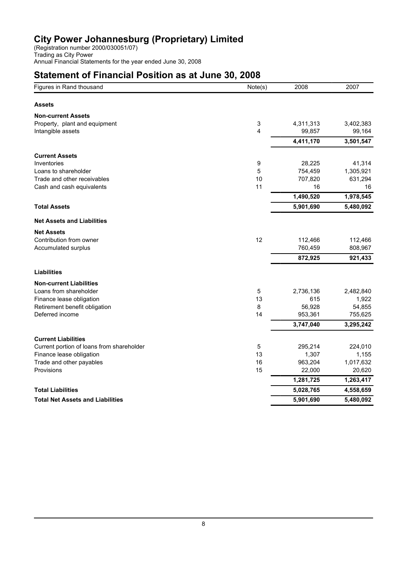(Registration number 2000/030051/07) Trading as City Power Annual Financial Statements for the year ended June 30, 2008

### **Statement of Financial Position as at June 30, 2008**

| Figures in Rand thousand                  | Note(s) | 2008      | 2007      |
|-------------------------------------------|---------|-----------|-----------|
| <b>Assets</b>                             |         |           |           |
| <b>Non-current Assets</b>                 |         |           |           |
| Property, plant and equipment             | 3       | 4,311,313 | 3,402,383 |
| Intangible assets                         | 4       | 99,857    | 99,164    |
|                                           |         | 4,411,170 | 3,501,547 |
| <b>Current Assets</b>                     |         |           |           |
| Inventories                               | 9       | 28,225    | 41,314    |
| Loans to shareholder                      | 5       | 754,459   | 1,305,921 |
| Trade and other receivables               | 10      | 707,820   | 631,294   |
| Cash and cash equivalents                 | 11      | 16        | 16        |
|                                           |         | 1,490,520 | 1,978,545 |
| <b>Total Assets</b>                       |         | 5,901,690 | 5,480,092 |
| <b>Net Assets and Liabilities</b>         |         |           |           |
| <b>Net Assets</b>                         |         |           |           |
| Contribution from owner                   | 12      | 112,466   | 112,466   |
| Accumulated surplus                       |         | 760,459   | 808,967   |
|                                           |         | 872,925   | 921,433   |
| <b>Liabilities</b>                        |         |           |           |
| <b>Non-current Liabilities</b>            |         |           |           |
| Loans from shareholder                    | 5       | 2,736,136 | 2,482,840 |
| Finance lease obligation                  | 13      | 615       | 1,922     |
| Retirement benefit obligation             | 8       | 56,928    | 54,855    |
| Deferred income                           | 14      | 953,361   | 755,625   |
|                                           |         | 3,747,040 | 3,295,242 |
| <b>Current Liabilities</b>                |         |           |           |
| Current portion of loans from shareholder | 5       | 295,214   | 224,010   |
| Finance lease obligation                  | 13      | 1,307     | 1,155     |
| Trade and other payables                  | 16      | 963,204   | 1,017,632 |
| Provisions                                | 15      | 22,000    | 20,620    |
|                                           |         | 1,281,725 | 1,263,417 |
| <b>Total Liabilities</b>                  |         | 5,028,765 | 4,558,659 |
| <b>Total Net Assets and Liabilities</b>   |         | 5,901,690 | 5,480,092 |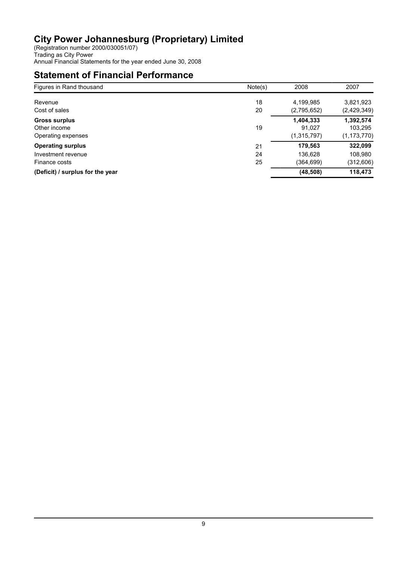(Registration number 2000/030051/07) Trading as City Power Annual Financial Statements for the year ended June 30, 2008

# **Statement of Financial Performance**

| Figures in Rand thousand         | Note(s) | 2008        | 2007          |
|----------------------------------|---------|-------------|---------------|
|                                  |         |             |               |
| Revenue                          | 18      | 4,199,985   | 3,821,923     |
| Cost of sales                    | 20      | (2,795,652) | (2,429,349)   |
| <b>Gross surplus</b>             |         | 1,404,333   | 1,392,574     |
| Other income                     | 19      | 91,027      | 103,295       |
| Operating expenses               |         | (1,315,797) | (1, 173, 770) |
| <b>Operating surplus</b>         | 21      | 179,563     | 322,099       |
| Investment revenue               | 24      | 136,628     | 108,980       |
| Finance costs                    | 25      | (364,699)   | (312,606)     |
| (Deficit) / surplus for the year |         | (48, 508)   | 118,473       |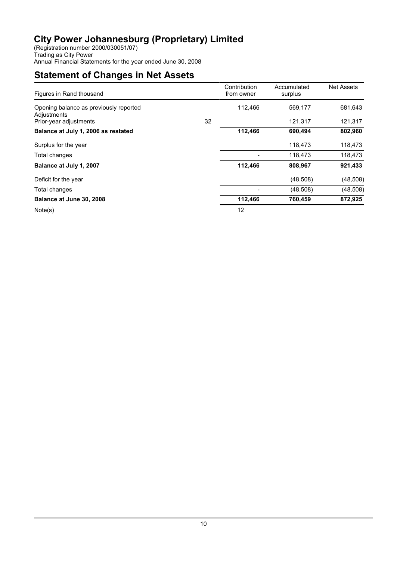(Registration number 2000/030051/07) Trading as City Power Annual Financial Statements for the year ended June 30, 2008

# **Statement of Changes in Net Assets**

| Figures in Rand thousand                              |    | Contribution<br>from owner | Accumulated<br>surplus | <b>Net Assets</b> |
|-------------------------------------------------------|----|----------------------------|------------------------|-------------------|
| Opening balance as previously reported<br>Adjustments |    | 112,466                    | 569,177                | 681,643           |
| Prior-year adjustments                                | 32 |                            | 121,317                | 121,317           |
| Balance at July 1, 2006 as restated                   |    | 112,466                    | 690,494                | 802,960           |
| Surplus for the year                                  |    |                            | 118,473                | 118,473           |
| Total changes                                         |    |                            | 118,473                | 118,473           |
| Balance at July 1, 2007                               |    | 112,466                    | 808,967                | 921,433           |
| Deficit for the year                                  |    |                            | (48,508)               | (48, 508)         |
| Total changes                                         |    |                            | (48, 508)              | (48, 508)         |
| Balance at June 30, 2008                              |    | 112,466                    | 760,459                | 872,925           |
| Note(s)                                               |    | 12                         |                        |                   |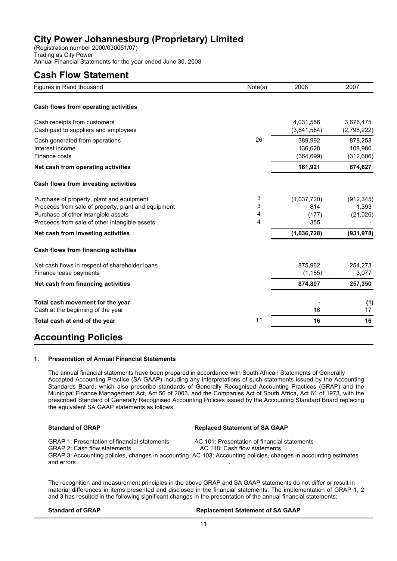(Registration number 2000/030051/07) Trading as City Power Annual Financial Statements for the year ended June 30, 2008

### **Cash Flow Statement**

| Figures in Rand thousand                                                                                                                                                                 | Note(s)          | 2008                               | 2007                             |
|------------------------------------------------------------------------------------------------------------------------------------------------------------------------------------------|------------------|------------------------------------|----------------------------------|
| Cash flows from operating activities                                                                                                                                                     |                  |                                    |                                  |
| Cash receipts from customers<br>Cash paid to suppliers and employees                                                                                                                     |                  | 4,031,556<br>(3,641,564)           | 3,676,475<br>(2,798,222)         |
| Cash generated from operations<br>Interest income<br>Finance costs                                                                                                                       | 26               | 389,992<br>136,628<br>(364, 699)   | 878,253<br>108,980<br>(312,606)  |
| Net cash from operating activities                                                                                                                                                       |                  | 161,921                            | 674,627                          |
| Cash flows from investing activities                                                                                                                                                     |                  |                                    |                                  |
| Purchase of property, plant and equipment<br>Proceeds from sale of property, plant and equipment<br>Purchase of other intangible assets<br>Proceeds from sale of other intangible assets | 3<br>3<br>4<br>4 | (1,037,720)<br>814<br>(177)<br>355 | (912, 345)<br>1,393<br>(21, 026) |
| Net cash from investing activities                                                                                                                                                       |                  | (1,036,728)                        | (931, 978)                       |
| Cash flows from financing activities                                                                                                                                                     |                  |                                    |                                  |
| Net cash flows in respect of shareholder loans<br>Finance lease payments                                                                                                                 |                  | 875.962<br>(1, 155)                | 254,273<br>3,077                 |
| Net cash from financing activities                                                                                                                                                       |                  | 874,807                            | 257,350                          |
| Total cash movement for the year<br>Cash at the beginning of the year                                                                                                                    |                  | 16                                 | (1)<br>17                        |
| Total cash at end of the year                                                                                                                                                            | 11               | 16                                 | 16                               |
|                                                                                                                                                                                          |                  |                                    |                                  |

### **Accounting Policies**

#### **1. Presentation of Annual Financial Statements**

The annual financial statements have been prepared in accordance with South African Statements of Generally Accepted Accounting Practice (SA GAAP) including any interpretations of such statements issued by the Accounting Standards Board, which also prescribe standards of Generally Recognised Accounting Practices (GRAP) and the Municipal Finance Management Act, Act 56 of 2003, and the Companies Act of South Africa, Act 61 of 1973, with the prescribed Standard of Generally Recognised Accounting Policies issued by the Accounting Standard Board replacing the equivalent SA GAAP statements as follows:

| <b>Standard of GRAP</b>                      | <b>Replaced Statement of SA GAAP</b>                                                                            |
|----------------------------------------------|-----------------------------------------------------------------------------------------------------------------|
| GRAP 1: Presentation of financial statements | AC 101: Presentation of financial statements                                                                    |
| <b>GRAP 2: Cash flow statements</b>          | AC 118: Cash flow statements                                                                                    |
| and errors                                   | GRAP 3: Accounting policies, changes in accounting AC 103: Accounting policies, changes in accounting estimates |

The recognition and measurement principles in the above GRAP and SA GAAP statements do not differ or result in material differences in items presented and disclosed in the financial statements. The implementation of GRAP 1, 2 and 3 has resulted in the following significant changes in the presentation of the annual financial statements:

#### **Standard of GRAP Replacement Statement of SA GAAP**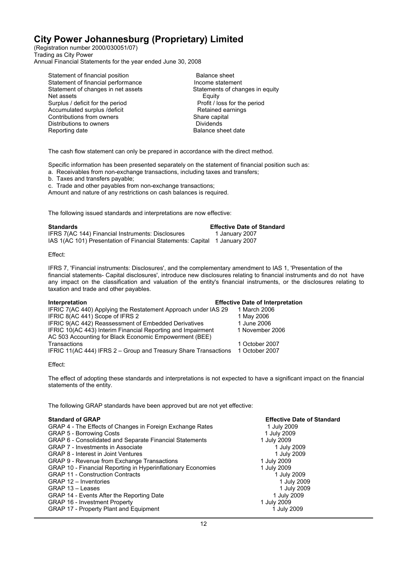(Registration number 2000/030051/07) Trading as City Power Annual Financial Statements for the year ended June 30, 2008

Statement of financial position<br>
Statement of financial performance<br>
Income statement Statement of financial performance<br>
Statement of changes in net assets<br>
Statements of changes in equity Statement of changes in net assets Statement<br>Net assets Equity Net assets<br>Surplus / deficit for the period<br>
Surplus / deficit for the period<br>
Surplus / deficit for the period Surplus / deficit for the period<br>
Accumulated surplus / deficit<br>
Profit / loss for the period<br>
Retained earnings Accumulated surplus /deficit and the metal Retained earnings and Retained earnings and Retained earnings and R<br>
Retained earnings and Retained earnings and Retained earnings and Retained earnings and Retained earnings and Contributions from owners Share capital Share capital Share capital Share capital Share capital Share Capital Share capital Share Capital Share Capital Share Capital Share Capital Share Capital Share Capital Share Capital Distributions to owners Reporting date **Balance** sheet date

The cash flow statement can only be prepared in accordance with the direct method.

Specific information has been presented separately on the statement of financial position such as:

a. Receivables from non-exchange transactions, including taxes and transfers;

b. Taxes and transfers payable;

c. Trade and other payables from non-exchange transactions;

Amount and nature of any restrictions on cash balances is required.

The following issued standards and interpretations are now effective:

**Standards**<br>IFRS 7(AC 144) Financial Instruments: Disclosures 1 January 2007 IFRS 7(AC 144) Financial Instruments: Disclosures IAS 1(AC 101) Presentation of Financial Statements: Capital 1 January 2007

Effect:

IFRS 7, 'Financial instruments: Disclosures', and the complementary amendment to IAS 1, 'Presentation of the financial statements- Capital disclosures', introduce new disclosures relating to financial instruments and do not have any impact on the classification and valuation of the entity's financial instruments, or the disclosures relating to taxation and trade and other payables.

| <b>Interpretation</b>                                           | <b>Effective Date of Interpretation</b> |
|-----------------------------------------------------------------|-----------------------------------------|
| IFRIC 7(AC 440) Applying the Restatement Approach under IAS 29  | 1 March 2006                            |
| IFRIC 8(AC 441) Scope of IFRS 2                                 | 1 May 2006                              |
| IFRIC 9(AC 442) Reassessment of Embedded Derivatives            | 1 June 2006                             |
| IFRIC 10(AC 443) Interim Financial Reporting and Impairment     | 1 November 2006                         |
| AC 503 Accounting for Black Economic Empowerment (BEE)          |                                         |
| Transactions                                                    | 1 October 2007                          |
| IFRIC 11(AC 444) IFRS 2 - Group and Treasury Share Transactions | 1 October 2007                          |

Effect:

The effect of adopting these standards and interpretations is not expected to have a significant impact on the financial statements of the entity.

The following GRAP standards have been approved but are not yet effective:

| <b>Effective Date of Standard</b> |
|-----------------------------------|
| 1 July 2009                       |
| 1 July 2009                       |
| 1 July 2009                       |
| 1 July 2009                       |
| 1 July 2009                       |
| 1 July 2009                       |
| 1 July 2009                       |
| 1 July 2009                       |
| 1 July 2009                       |
| 1 July 2009                       |
| 1 July 2009                       |
| 1 July 2009                       |
| 1 July 2009                       |
|                                   |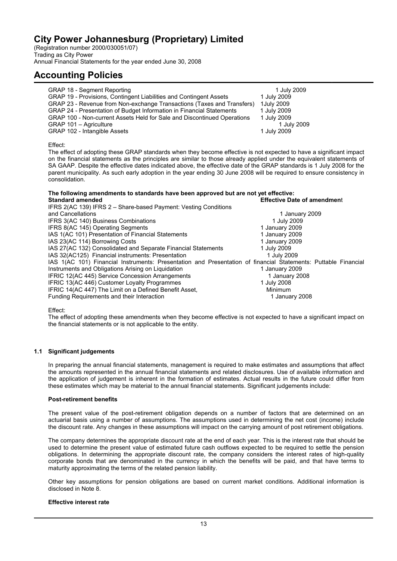(Registration number 2000/030051/07) Trading as City Power Annual Financial Statements for the year ended June 30, 2008

### **Accounting Policies**

### Effect:

The effect of adopting these GRAP standards when they become effective is not expected to have a significant impact on the financial statements as the principles are similar to those already applied under the equivalent statements of SA GAAP. Despite the effective dates indicated above, the effective date of the GRAP standards is 1 July 2008 for the parent municipality. As such early adoption in the year ending 30 June 2008 will be required to ensure consistency in consolidation.

### **The following amendments to standards have been approved but are not yet effective: Effective Date of amendment**

| IFRS 2(AC 139) IFRS 2 - Share-based Payment: Vesting Conditions                                                |                |  |
|----------------------------------------------------------------------------------------------------------------|----------------|--|
| and Cancellations                                                                                              | 1 January 2009 |  |
| IFRS 3(AC 140) Business Combinations                                                                           | 1 July 2009    |  |
| IFRS 8(AC 145) Operating Segments                                                                              | 1 January 2009 |  |
| IAS 1(AC 101) Presentation of Financial Statements                                                             | 1 January 2009 |  |
| IAS 23(AC 114) Borrowing Costs                                                                                 | 1 January 2009 |  |
| IAS 27(AC 132) Consolidated and Separate Financial Statements                                                  | 1 July 2009    |  |
| IAS 32(AC125) Financial instruments: Presentation                                                              | 1 July 2009    |  |
| IAS 1(AC 101) Financial Instruments: Presentation and Presentation of financial Statements: Puttable Financial |                |  |
| Instruments and Obligations Arising on Liguidation                                                             | 1 January 2009 |  |
| IFRIC 12(AC 445) Service Concession Arrangements                                                               | 1 January 2008 |  |
| IFRIC 13(AC 446) Customer Loyalty Programmes                                                                   | 1 July 2008    |  |
| IFRIC 14(AC 447) The Limit on a Defined Benefit Asset,                                                         | Minimum        |  |
| Funding Requirements and their Interaction                                                                     | 1 January 2008 |  |

Effect:

The effect of adopting these amendments when they become effective is not expected to have a significant impact on the financial statements or is not applicable to the entity.

### **1.1 Significant judgements**

In preparing the annual financial statements, management is required to make estimates and assumptions that affect the amounts represented in the annual financial statements and related disclosures. Use of available information and the application of judgement is inherent in the formation of estimates. Actual results in the future could differ from these estimates which may be material to the annual financial statements. Significant judgements include:

#### **Post-retirement benefits**

The present value of the post-retirement obligation depends on a number of factors that are determined on an actuarial basis using a number of assumptions. The assumptions used in determining the net cost (income) include the discount rate. Any changes in these assumptions will impact on the carrying amount of post retirement obligations.

The company determines the appropriate discount rate at the end of each year. This is the interest rate that should be used to determine the present value of estimated future cash outflows expected to be required to settle the pension obligations. In determining the appropriate discount rate, the company considers the interest rates of high-quality corporate bonds that are denominated in the currency in which the benefits will be paid, and that have terms to maturity approximating the terms of the related pension liability.

Other key assumptions for pension obligations are based on current market conditions. Additional information is disclosed in Note 8.

#### **Effective interest rate**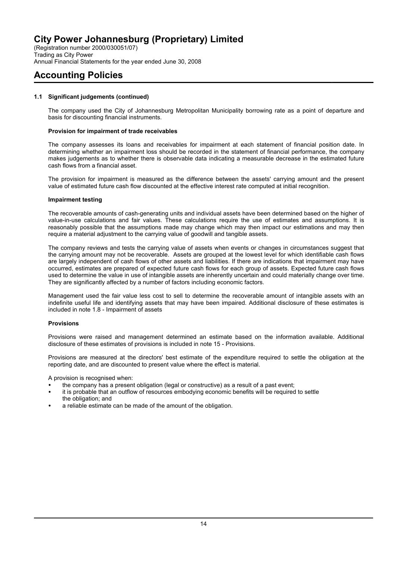(Registration number 2000/030051/07) Trading as City Power Annual Financial Statements for the year ended June 30, 2008

# **Accounting Policies**

### **1.1 Significant judgements (continued)**

The company used the City of Johannesburg Metropolitan Municipality borrowing rate as a point of departure and basis for discounting financial instruments.

### **Provision for impairment of trade receivables**

The company assesses its loans and receivables for impairment at each statement of financial position date. In determining whether an impairment loss should be recorded in the statement of financial performance, the company makes judgements as to whether there is observable data indicating a measurable decrease in the estimated future cash flows from a financial asset.

The provision for impairment is measured as the difference between the assets' carrying amount and the present value of estimated future cash flow discounted at the effective interest rate computed at initial recognition.

#### **Impairment testing**

The recoverable amounts of cash-generating units and individual assets have been determined based on the higher of value-in-use calculations and fair values. These calculations require the use of estimates and assumptions. It is reasonably possible that the assumptions made may change which may then impact our estimations and may then require a material adjustment to the carrying value of goodwill and tangible assets.

The company reviews and tests the carrying value of assets when events or changes in circumstances suggest that the carrying amount may not be recoverable. Assets are grouped at the lowest level for which identifiable cash flows are largely independent of cash flows of other assets and liabilities. If there are indications that impairment may have occurred, estimates are prepared of expected future cash flows for each group of assets. Expected future cash flows used to determine the value in use of intangible assets are inherently uncertain and could materially change over time. They are significantly affected by a number of factors including economic factors.

Management used the fair value less cost to sell to determine the recoverable amount of intangible assets with an indefinite useful life and identifying assets that may have been impaired. Additional disclosure of these estimates is included in note 1.8 - Impairment of assets

### **Provisions**

Provisions were raised and management determined an estimate based on the information available. Additional disclosure of these estimates of provisions is included in note 15 - Provisions.

Provisions are measured at the directors' best estimate of the expenditure required to settle the obligation at the reporting date, and are discounted to present value where the effect is material.

A provision is recognised when:

- the company has a present obligation (legal or constructive) as a result of a past event;
- it is probable that an outflow of resources embodying economic benefits will be required to settle the obligation; and
- a reliable estimate can be made of the amount of the obligation.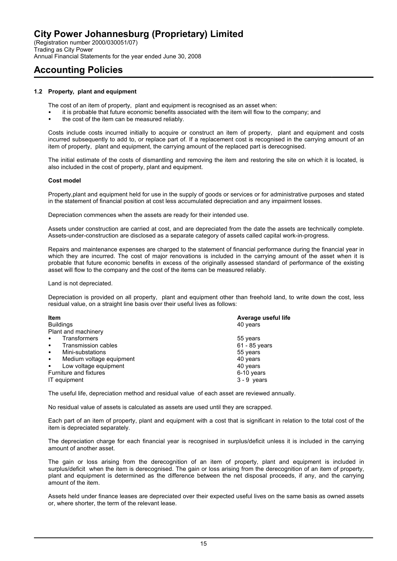(Registration number 2000/030051/07) Trading as City Power Annual Financial Statements for the year ended June 30, 2008

### **Accounting Policies**

#### **1.2 Property, plant and equipment**

The cost of an item of property, plant and equipment is recognised as an asset when:

- it is probable that future economic benefits associated with the item will flow to the company; and
- the cost of the item can be measured reliably.

Costs include costs incurred initially to acquire or construct an item of property, plant and equipment and costs incurred subsequently to add to, or replace part of. If a replacement cost is recognised in the carrying amount of an item of property, plant and equipment, the carrying amount of the replaced part is derecognised.

The initial estimate of the costs of dismantling and removing the item and restoring the site on which it is located, is also included in the cost of property, plant and equipment.

#### **Cost model**

Property,plant and equipment held for use in the supply of goods or services or for administrative purposes and stated in the statement of financial position at cost less accumulated depreciation and any impairment losses.

Depreciation commences when the assets are ready for their intended use.

Assets under construction are carried at cost, and are depreciated from the date the assets are technically complete. Assets-under-construction are disclosed as a separate category of assets called capital work-in-progress.

Repairs and maintenance expenses are charged to the statement of financial performance during the financial year in which they are incurred. The cost of major renovations is included in the carrying amount of the asset when it is probable that future economic benefits in excess of the originally assessed standard of performance of the existing asset will flow to the company and the cost of the items can be measured reliably.

Land is not depreciated.

Depreciation is provided on all property, plant and equipment other than freehold land, to write down the cost, less residual value, on a straight line basis over their useful lives as follows:

| <b>Item</b>                           | Average useful life |
|---------------------------------------|---------------------|
| <b>Buildings</b>                      | 40 years            |
| Plant and machinery                   |                     |
| <b>Transformers</b><br>$\bullet$      | 55 years            |
| Transmission cables<br>$\bullet$      | 61 - 85 years       |
| $\bullet$<br>Mini-substations         | 55 years            |
| Medium voltage equipment<br>$\bullet$ | 40 years            |
| Low voltage equipment<br>$\bullet$    | 40 years            |
| Furniture and fixtures                | 6-10 years          |
| IT equipment                          | $3 - 9$ vears       |

The useful life, depreciation method and residual value of each asset are reviewed annually.

No residual value of assets is calculated as assets are used until they are scrapped.

Each part of an item of property, plant and equipment with a cost that is significant in relation to the total cost of the item is depreciated separately.

The depreciation charge for each financial year is recognised in surplus/deficit unless it is included in the carrying amount of another asset.

The gain or loss arising from the derecognition of an item of property, plant and equipment is included in surplus/deficit when the item is derecognised. The gain or loss arising from the derecognition of an item of property, plant and equipment is determined as the difference between the net disposal proceeds, if any, and the carrying amount of the item.

Assets held under finance leases are depreciated over their expected useful lives on the same basis as owned assets or, where shorter, the term of the relevant lease.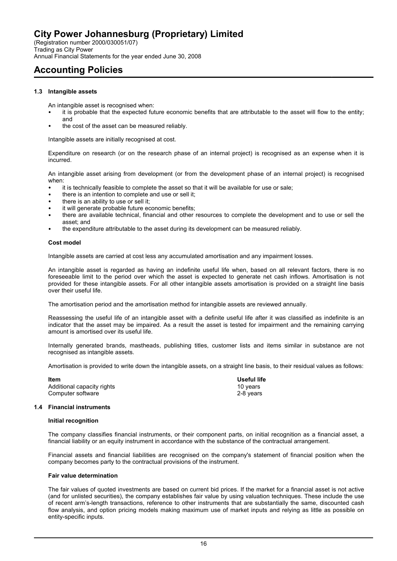(Registration number 2000/030051/07) Trading as City Power Annual Financial Statements for the year ended June 30, 2008

### **Accounting Policies**

#### **1.3 Intangible assets**

An intangible asset is recognised when:

- it is probable that the expected future economic benefits that are attributable to the asset will flow to the entity; and
- the cost of the asset can be measured reliably.

Intangible assets are initially recognised at cost.

Expenditure on research (or on the research phase of an internal project) is recognised as an expense when it is incurred.

An intangible asset arising from development (or from the development phase of an internal project) is recognised when:

- it is technically feasible to complete the asset so that it will be available for use or sale;
- there is an intention to complete and use or sell it;
- there is an ability to use or sell it;
- it will generate probable future economic benefits;
- there are available technical, financial and other resources to complete the development and to use or sell the asset; and
- the expenditure attributable to the asset during its development can be measured reliably.

#### **Cost model**

Intangible assets are carried at cost less any accumulated amortisation and any impairment losses.

An intangible asset is regarded as having an indefinite useful life when, based on all relevant factors, there is no foreseeable limit to the period over which the asset is expected to generate net cash inflows. Amortisation is not provided for these intangible assets. For all other intangible assets amortisation is provided on a straight line basis over their useful life.

The amortisation period and the amortisation method for intangible assets are reviewed annually.

Reassessing the useful life of an intangible asset with a definite useful life after it was classified as indefinite is an indicator that the asset may be impaired. As a result the asset is tested for impairment and the remaining carrying amount is amortised over its useful life.

Internally generated brands, mastheads, publishing titles, customer lists and items similar in substance are not recognised as intangible assets.

Amortisation is provided to write down the intangible assets, on a straight line basis, to their residual values as follows:

| <b>Item</b>                | <b>Useful life</b> |
|----------------------------|--------------------|
| Additional capacity rights | 10 vears           |
| Computer software          | 2-8 vears          |

#### **1.4 Financial instruments**

#### **Initial recognition**

The company classifies financial instruments, or their component parts, on initial recognition as a financial asset, a financial liability or an equity instrument in accordance with the substance of the contractual arrangement.

Financial assets and financial liabilities are recognised on the company's statement of financial position when the company becomes party to the contractual provisions of the instrument.

#### **Fair value determination**

The fair values of quoted investments are based on current bid prices. If the market for a financial asset is not active (and for unlisted securities), the company establishes fair value by using valuation techniques. These include the use of recent arm's-length transactions, reference to other instruments that are substantially the same, discounted cash flow analysis, and option pricing models making maximum use of market inputs and relying as little as possible on entity-specific inputs.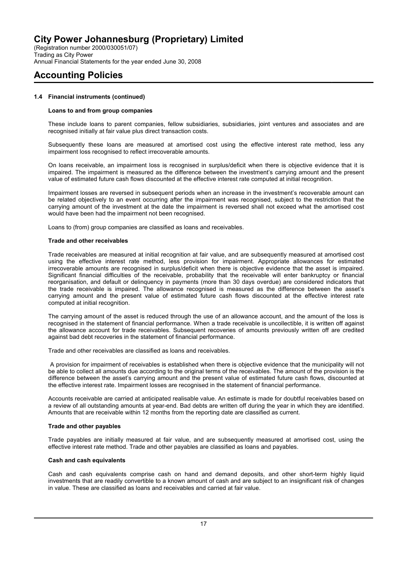(Registration number 2000/030051/07) Trading as City Power Annual Financial Statements for the year ended June 30, 2008

# **Accounting Policies**

### **1.4 Financial instruments (continued)**

#### **Loans to and from group companies**

These include loans to parent companies, fellow subsidiaries, subsidiaries, joint ventures and associates and are recognised initially at fair value plus direct transaction costs.

Subsequently these loans are measured at amortised cost using the effective interest rate method, less any impairment loss recognised to reflect irrecoverable amounts.

On loans receivable, an impairment loss is recognised in surplus/deficit when there is objective evidence that it is impaired. The impairment is measured as the difference between the investment's carrying amount and the present value of estimated future cash flows discounted at the effective interest rate computed at initial recognition.

Impairment losses are reversed in subsequent periods when an increase in the investment's recoverable amount can be related objectively to an event occurring after the impairment was recognised, subject to the restriction that the carrying amount of the investment at the date the impairment is reversed shall not exceed what the amortised cost would have been had the impairment not been recognised.

Loans to (from) group companies are classified as loans and receivables.

#### **Trade and other receivables**

Trade receivables are measured at initial recognition at fair value, and are subsequently measured at amortised cost using the effective interest rate method, less provision for impairment. Appropriate allowances for estimated irrecoverable amounts are recognised in surplus/deficit when there is objective evidence that the asset is impaired. Significant financial difficulties of the receivable, probability that the receivable will enter bankruptcy or financial reorganisation, and default or delinquency in payments (more than 30 days overdue) are considered indicators that the trade receivable is impaired. The allowance recognised is measured as the difference between the asset's carrying amount and the present value of estimated future cash flows discounted at the effective interest rate computed at initial recognition.

The carrying amount of the asset is reduced through the use of an allowance account, and the amount of the loss is recognised in the statement of financial performance. When a trade receivable is uncollectible, it is written off against the allowance account for trade receivables. Subsequent recoveries of amounts previously written off are credited against bad debt recoveries in the statement of financial performance.

Trade and other receivables are classified as loans and receivables.

A provision for impairment of receivables is established when there is objective evidence that the municipality will not be able to collect all amounts due according to the original terms of the receivables. The amount of the provision is the difference between the asset's carrying amount and the present value of estimated future cash flows, discounted at the effective interest rate. Impairment losses are recognised in the statement of financial performance.

Accounts receivable are carried at anticipated realisable value. An estimate is made for doubtful receivables based on a review of all outstanding amounts at year-end. Bad debts are written off during the year in which they are identified. Amounts that are receivable within 12 months from the reporting date are classified as current.

#### **Trade and other payables**

Trade payables are initially measured at fair value, and are subsequently measured at amortised cost, using the effective interest rate method. Trade and other payables are classified as loans and payables.

#### **Cash and cash equivalents**

Cash and cash equivalents comprise cash on hand and demand deposits, and other short-term highly liquid investments that are readily convertible to a known amount of cash and are subject to an insignificant risk of changes in value. These are classified as loans and receivables and carried at fair value.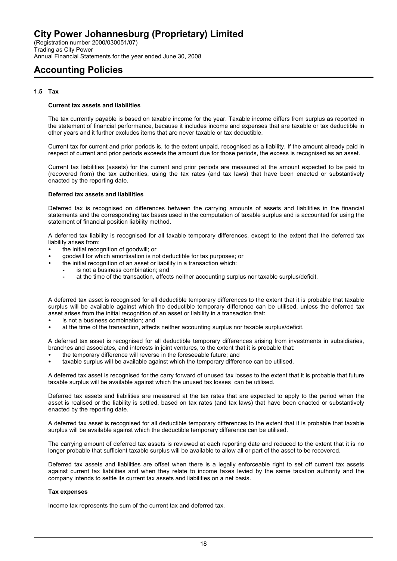(Registration number 2000/030051/07) Trading as City Power Annual Financial Statements for the year ended June 30, 2008

### **Accounting Policies**

#### **1.5 Tax**

#### **Current tax assets and liabilities**

The tax currently payable is based on taxable income for the year. Taxable income differs from surplus as reported in the statement of financial performance, because it includes income and expenses that are taxable or tax deductible in other years and it further excludes items that are never taxable or tax deductible.

Current tax for current and prior periods is, to the extent unpaid, recognised as a liability. If the amount already paid in respect of current and prior periods exceeds the amount due for those periods, the excess is recognised as an asset.

Current tax liabilities (assets) for the current and prior periods are measured at the amount expected to be paid to (recovered from) the tax authorities, using the tax rates (and tax laws) that have been enacted or substantively enacted by the reporting date.

#### **Deferred tax assets and liabilities**

Deferred tax is recognised on differences between the carrying amounts of assets and liabilities in the financial statements and the corresponding tax bases used in the computation of taxable surplus and is accounted for using the statement of financial position liability method.

A deferred tax liability is recognised for all taxable temporary differences, except to the extent that the deferred tax liability arises from:

- the initial recognition of goodwill; or
- goodwill for which amortisation is not deductible for tax purposes; or
- the initial recognition of an asset or liability in a transaction which:
	- **-** is not a business combination; and
	- **-** at the time of the transaction, affects neither accounting surplus nor taxable surplus/deficit.

A deferred tax asset is recognised for all deductible temporary differences to the extent that it is probable that taxable surplus will be available against which the deductible temporary difference can be utilised, unless the deferred tax asset arises from the initial recognition of an asset or liability in a transaction that:

- is not a business combination; and
- at the time of the transaction, affects neither accounting surplus nor taxable surplus/deficit.

A deferred tax asset is recognised for all deductible temporary differences arising from investments in subsidiaries, branches and associates, and interests in joint ventures, to the extent that it is probable that:

- the temporary difference will reverse in the foreseeable future; and
- taxable surplus will be available against which the temporary difference can be utilised.

A deferred tax asset is recognised for the carry forward of unused tax losses to the extent that it is probable that future taxable surplus will be available against which the unused tax losses can be utilised.

Deferred tax assets and liabilities are measured at the tax rates that are expected to apply to the period when the asset is realised or the liability is settled, based on tax rates (and tax laws) that have been enacted or substantively enacted by the reporting date.

A deferred tax asset is recognised for all deductible temporary differences to the extent that it is probable that taxable surplus will be available against which the deductible temporary difference can be utilised.

The carrying amount of deferred tax assets is reviewed at each reporting date and reduced to the extent that it is no longer probable that sufficient taxable surplus will be available to allow all or part of the asset to be recovered.

Deferred tax assets and liabilities are offset when there is a legally enforceable right to set off current tax assets against current tax liabilities and when they relate to income taxes levied by the same taxation authority and the company intends to settle its current tax assets and liabilities on a net basis.

#### **Tax expenses**

Income tax represents the sum of the current tax and deferred tax.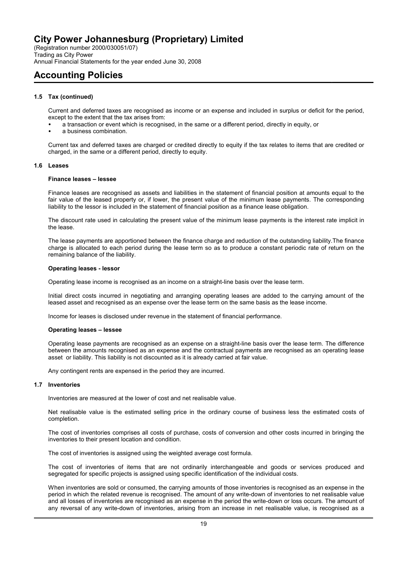(Registration number 2000/030051/07) Trading as City Power Annual Financial Statements for the year ended June 30, 2008

# **Accounting Policies**

#### **1.5 Tax (continued)**

Current and deferred taxes are recognised as income or an expense and included in surplus or deficit for the period, except to the extent that the tax arises from:

- a transaction or event which is recognised, in the same or a different period, directly in equity, or
- a business combination.

Current tax and deferred taxes are charged or credited directly to equity if the tax relates to items that are credited or charged, in the same or a different period, directly to equity.

#### **1.6 Leases**

#### **Finance leases – lessee**

Finance leases are recognised as assets and liabilities in the statement of financial position at amounts equal to the fair value of the leased property or, if lower, the present value of the minimum lease payments. The corresponding liability to the lessor is included in the statement of financial position as a finance lease obligation.

The discount rate used in calculating the present value of the minimum lease payments is the interest rate implicit in the lease.

The lease payments are apportioned between the finance charge and reduction of the outstanding liability.The finance charge is allocated to each period during the lease term so as to produce a constant periodic rate of return on the remaining balance of the liability.

#### **Operating leases - lessor**

Operating lease income is recognised as an income on a straight-line basis over the lease term.

Initial direct costs incurred in negotiating and arranging operating leases are added to the carrying amount of the leased asset and recognised as an expense over the lease term on the same basis as the lease income.

Income for leases is disclosed under revenue in the statement of financial performance.

#### **Operating leases – lessee**

Operating lease payments are recognised as an expense on a straight-line basis over the lease term. The difference between the amounts recognised as an expense and the contractual payments are recognised as an operating lease asset or liability. This liability is not discounted as it is already carried at fair value.

Any contingent rents are expensed in the period they are incurred.

#### **1.7 Inventories**

Inventories are measured at the lower of cost and net realisable value.

Net realisable value is the estimated selling price in the ordinary course of business less the estimated costs of completion.

The cost of inventories comprises all costs of purchase, costs of conversion and other costs incurred in bringing the inventories to their present location and condition.

The cost of inventories is assigned using the weighted average cost formula.

The cost of inventories of items that are not ordinarily interchangeable and goods or services produced and segregated for specific projects is assigned using specific identification of the individual costs.

When inventories are sold or consumed, the carrying amounts of those inventories is recognised as an expense in the period in which the related revenue is recognised. The amount of any write-down of inventories to net realisable value and all losses of inventories are recognised as an expense in the period the write-down or loss occurs. The amount of any reversal of any write-down of inventories, arising from an increase in net realisable value, is recognised as a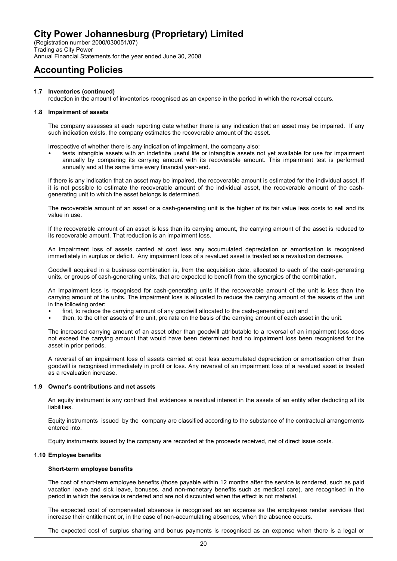(Registration number 2000/030051/07) Trading as City Power Annual Financial Statements for the year ended June 30, 2008

### **Accounting Policies**

### **1.7 Inventories (continued)**

reduction in the amount of inventories recognised as an expense in the period in which the reversal occurs.

#### **1.8 Impairment of assets**

The company assesses at each reporting date whether there is any indication that an asset may be impaired. If any such indication exists, the company estimates the recoverable amount of the asset.

Irrespective of whether there is any indication of impairment, the company also:

 tests intangible assets with an indefinite useful life or intangible assets not yet available for use for impairment annually by comparing its carrying amount with its recoverable amount. This impairment test is performed annually and at the same time every financial year-end.

If there is any indication that an asset may be impaired, the recoverable amount is estimated for the individual asset. If it is not possible to estimate the recoverable amount of the individual asset, the recoverable amount of the cashgenerating unit to which the asset belongs is determined.

The recoverable amount of an asset or a cash-generating unit is the higher of its fair value less costs to sell and its value in use.

If the recoverable amount of an asset is less than its carrying amount, the carrying amount of the asset is reduced to its recoverable amount. That reduction is an impairment loss.

An impairment loss of assets carried at cost less any accumulated depreciation or amortisation is recognised immediately in surplus or deficit. Any impairment loss of a revalued asset is treated as a revaluation decrease.

Goodwill acquired in a business combination is, from the acquisition date, allocated to each of the cash-generating units, or groups of cash-generating units, that are expected to benefit from the synergies of the combination.

An impairment loss is recognised for cash-generating units if the recoverable amount of the unit is less than the carrying amount of the units. The impairment loss is allocated to reduce the carrying amount of the assets of the unit in the following order:

- first, to reduce the carrying amount of any goodwill allocated to the cash-generating unit and
- then, to the other assets of the unit, pro rata on the basis of the carrying amount of each asset in the unit.

The increased carrying amount of an asset other than goodwill attributable to a reversal of an impairment loss does not exceed the carrying amount that would have been determined had no impairment loss been recognised for the asset in prior periods.

A reversal of an impairment loss of assets carried at cost less accumulated depreciation or amortisation other than goodwill is recognised immediately in profit or loss. Any reversal of an impairment loss of a revalued asset is treated as a revaluation increase.

#### **1.9 Owner's contributions and net assets**

An equity instrument is any contract that evidences a residual interest in the assets of an entity after deducting all its liabilities.

Equity instruments issued by the company are classified according to the substance of the contractual arrangements entered into.

Equity instruments issued by the company are recorded at the proceeds received, net of direct issue costs.

#### **1.10 Employee benefits**

#### **Short-term employee benefits**

The cost of short-term employee benefits (those payable within 12 months after the service is rendered, such as paid vacation leave and sick leave, bonuses, and non-monetary benefits such as medical care), are recognised in the period in which the service is rendered and are not discounted when the effect is not material.

The expected cost of compensated absences is recognised as an expense as the employees render services that increase their entitlement or, in the case of non-accumulating absences, when the absence occurs.

The expected cost of surplus sharing and bonus payments is recognised as an expense when there is a legal or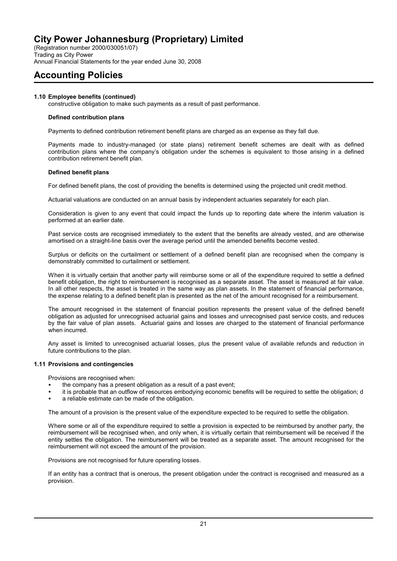(Registration number 2000/030051/07) Trading as City Power Annual Financial Statements for the year ended June 30, 2008

# **Accounting Policies**

### **1.10 Employee benefits (continued)**

constructive obligation to make such payments as a result of past performance.

#### **Defined contribution plans**

Payments to defined contribution retirement benefit plans are charged as an expense as they fall due.

Payments made to industry-managed (or state plans) retirement benefit schemes are dealt with as defined contribution plans where the company's obligation under the schemes is equivalent to those arising in a defined contribution retirement benefit plan.

#### **Defined benefit plans**

For defined benefit plans, the cost of providing the benefits is determined using the projected unit credit method.

Actuarial valuations are conducted on an annual basis by independent actuaries separately for each plan.

Consideration is given to any event that could impact the funds up to reporting date where the interim valuation is performed at an earlier date.

Past service costs are recognised immediately to the extent that the benefits are already vested, and are otherwise amortised on a straight-line basis over the average period until the amended benefits become vested.

Surplus or deficits on the curtailment or settlement of a defined benefit plan are recognised when the company is demonstrably committed to curtailment or settlement.

When it is virtually certain that another party will reimburse some or all of the expenditure required to settle a defined benefit obligation, the right to reimbursement is recognised as a separate asset. The asset is measured at fair value. In all other respects, the asset is treated in the same way as plan assets. In the statement of financial performance, the expense relating to a defined benefit plan is presented as the net of the amount recognised for a reimbursement.

The amount recognised in the statement of financial position represents the present value of the defined benefit obligation as adjusted for unrecognised actuarial gains and losses and unrecognised past service costs, and reduces by the fair value of plan assets. Actuarial gains and losses are charged to the statement of financial performance when incurred.

Any asset is limited to unrecognised actuarial losses, plus the present value of available refunds and reduction in future contributions to the plan.

#### **1.11 Provisions and contingencies**

Provisions are recognised when:

- the company has a present obligation as a result of a past event;
- it is probable that an outflow of resources embodying economic benefits will be required to settle the obligation; d
- a reliable estimate can be made of the obligation.

The amount of a provision is the present value of the expenditure expected to be required to settle the obligation.

Where some or all of the expenditure required to settle a provision is expected to be reimbursed by another party, the reimbursement will be recognised when, and only when, it is virtually certain that reimbursement will be received if the entity settles the obligation. The reimbursement will be treated as a separate asset. The amount recognised for the reimbursement will not exceed the amount of the provision.

Provisions are not recognised for future operating losses.

If an entity has a contract that is onerous, the present obligation under the contract is recognised and measured as a provision.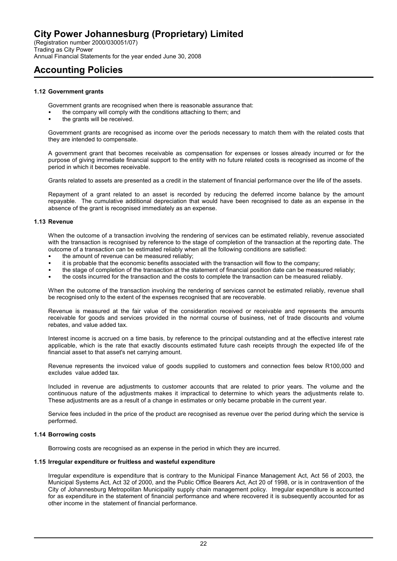(Registration number 2000/030051/07) Trading as City Power Annual Financial Statements for the year ended June 30, 2008

### **Accounting Policies**

#### **1.12 Government grants**

Government grants are recognised when there is reasonable assurance that:

- the company will comply with the conditions attaching to them; and
- the grants will be received.

Government grants are recognised as income over the periods necessary to match them with the related costs that they are intended to compensate.

A government grant that becomes receivable as compensation for expenses or losses already incurred or for the purpose of giving immediate financial support to the entity with no future related costs is recognised as income of the period in which it becomes receivable.

Grants related to assets are presented as a credit in the statement of financial performance over the life of the assets.

Repayment of a grant related to an asset is recorded by reducing the deferred income balance by the amount repayable. The cumulative additional depreciation that would have been recognised to date as an expense in the absence of the grant is recognised immediately as an expense.

#### **1.13 Revenue**

When the outcome of a transaction involving the rendering of services can be estimated reliably, revenue associated with the transaction is recognised by reference to the stage of completion of the transaction at the reporting date. The outcome of a transaction can be estimated reliably when all the following conditions are satisfied:

- the amount of revenue can be measured reliably;
- it is probable that the economic benefits associated with the transaction will flow to the company;
- the stage of completion of the transaction at the statement of financial position date can be measured reliably;
- the costs incurred for the transaction and the costs to complete the transaction can be measured reliably.

When the outcome of the transaction involving the rendering of services cannot be estimated reliably, revenue shall be recognised only to the extent of the expenses recognised that are recoverable.

Revenue is measured at the fair value of the consideration received or receivable and represents the amounts receivable for goods and services provided in the normal course of business, net of trade discounts and volume rebates, and value added tax.

Interest income is accrued on a time basis, by reference to the principal outstanding and at the effective interest rate applicable, which is the rate that exactly discounts estimated future cash receipts through the expected life of the financial asset to that asset's net carrying amount.

Revenue represents the invoiced value of goods supplied to customers and connection fees below R100,000 and excludes value added tax.

Included in revenue are adjustments to customer accounts that are related to prior years. The volume and the continuous nature of the adjustments makes it impractical to determine to which years the adjustments relate to. These adjustments are as a result of a change in estimates or only became probable in the current year.

Service fees included in the price of the product are recognised as revenue over the period during which the service is performed.

#### **1.14 Borrowing costs**

Borrowing costs are recognised as an expense in the period in which they are incurred.

#### **1.15 Irregular expenditure or fruitless and wasteful expenditure**

Irregular expenditure is expenditure that is contrary to the Municipal Finance Management Act, Act 56 of 2003, the Municipal Systems Act, Act 32 of 2000, and the Public Office Bearers Act, Act 20 of 1998, or is in contravention of the City of Johannesburg Metropolitan Municipality supply chain management policy. Irregular expenditure is accounted for as expenditure in the statement of financial performance and where recovered it is subsequently accounted for as other income in the statement of financial performance.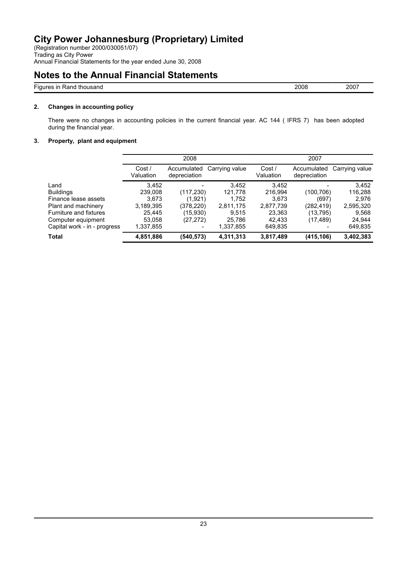(Registration number 2000/030051/07) Trading as City Power Annual Financial Statements for the year ended June 30, 2008

# **Notes to the Annual Financial Statements**

Figures in Rand thousand 2007

### **2. Changes in accounting policy**

There were no changes in accounting policies in the current financial year. AC 144 ( IFRS 7) has been adopted during the financial year.

### **3. Property, plant and equipment**

|                              |                     | 2008                        |                |                     | 2007                        |                |
|------------------------------|---------------------|-----------------------------|----------------|---------------------|-----------------------------|----------------|
|                              | Cost /<br>Valuation | Accumulated<br>depreciation | Carrying value | Cost /<br>Valuation | Accumulated<br>depreciation | Carrying value |
| Land                         | 3.452               | $\overline{\phantom{0}}$    | 3.452          | 3.452               | -                           | 3,452          |
| <b>Buildings</b>             | 239.008             | (117, 230)                  | 121,778        | 216.994             | (100,706)                   | 116,288        |
| Finance lease assets         | 3,673               | (1,921)                     | 1,752          | 3,673               | (697)                       | 2,976          |
| Plant and machinery          | 3,189,395           | (378,220)                   | 2,811,175      | 2,877,739           | (282,419)                   | 2,595,320      |
| Furniture and fixtures       | 25.445              | (15,930)                    | 9.515          | 23.363              | (13,795)                    | 9.568          |
| Computer equipment           | 53,058              | (27,272)                    | 25,786         | 42.433              | (17, 489)                   | 24,944         |
| Capital work - in - progress | 1,337,855           |                             | 1,337,855      | 649,835             |                             | 649,835        |
| <b>Total</b>                 | 4,851,886           | (540,573)                   | 4,311,313      | 3,817,489           | (415, 106)                  | 3,402,383      |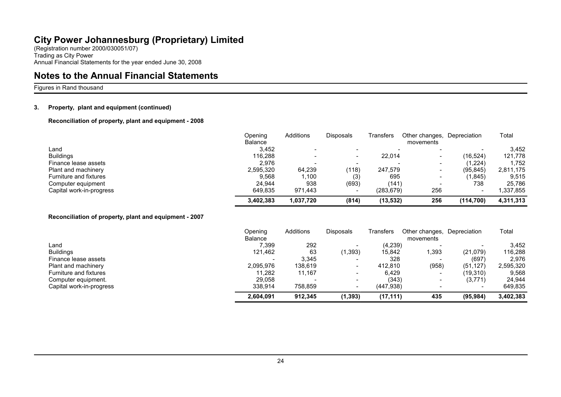(Registration number 2000/030051/07) Trading as City Power Annual Financial Statements for the year ended June 30, 2008

### **Notes to the Annual Financial Statements**

### Figures in Rand thousand

#### **3. Property, plant and equipment (continued)**

**Reconciliation of property, plant and equipment - 2008**

|                          | Opening<br>Balance | Additions | <b>Disposals</b>         | Transfers | Other changes,<br>movements | Depreciation             | Total     |
|--------------------------|--------------------|-----------|--------------------------|-----------|-----------------------------|--------------------------|-----------|
| Land                     | 3.452              |           | $\overline{\phantom{0}}$ |           | $\overline{\phantom{a}}$    |                          | 3,452     |
| <b>Buildings</b>         | 116.288            |           | $\overline{\phantom{0}}$ | 22.014    | $\overline{\phantom{0}}$    | (16.524)                 | 121,778   |
| Finance lease assets     | 2.976              |           | $\overline{\phantom{0}}$ |           | $\overline{\phantom{a}}$    | (1,224)                  | 1.752     |
| Plant and machinery      | 2,595,320          | 64.239    | (118)                    | 247.579   | $\overline{\phantom{0}}$    | (95, 845)                | 2,811,175 |
| Furniture and fixtures   | 9.568              | 1.100     | (3)                      | 695       | $\overline{\phantom{0}}$    | (1,845)                  | 9,515     |
| Computer equipment       | 24.944             | 938       | (693)                    | (141      |                             | 738                      | 25,786    |
| Capital work-in-progress | 649.835            | 971.443   | $\overline{\phantom{0}}$ | (283,679) | 256                         | $\overline{\phantom{0}}$ | 337,855   |
|                          | 3,402,383          | 1,037,720 | (814)                    | (13, 532) | 256                         | (114.700)                | 4,311,313 |

#### **Reconciliation of property, plant and equipment - 2007**

|                          | Opening                  | <b>Additions</b> | Disposals                | Fransfers | Other changes,           | Depreciation | Total     |
|--------------------------|--------------------------|------------------|--------------------------|-----------|--------------------------|--------------|-----------|
|                          | Balance                  |                  |                          |           | movements                |              |           |
| Land                     | 7.399                    | 292              | $\overline{\phantom{0}}$ | (4,239)   |                          |              | 3.452     |
| <b>Buildings</b>         | 121,462                  | 63               | (1, 393)                 | 15,842    | .393                     | (21,079)     | 116,288   |
| Finance lease assets     | $\overline{\phantom{0}}$ | 3.345            | $\overline{\phantom{0}}$ | 328       | $\overline{\phantom{0}}$ | (697)        | 2.976     |
| Plant and machinery      | 2.095.976                | 138.619          | $\overline{\phantom{0}}$ | 412.810   | (958)                    | (51<br>.127) | 2,595,320 |
| Furniture and fixtures   | 11.282                   | 11.167           | $\overline{\phantom{0}}$ | 6.429     | $\overline{\phantom{0}}$ | (19,310)     | 9,568     |
| Computer equipment.      | 29.058                   |                  | $\overline{\phantom{0}}$ | (343)     | $\overline{\phantom{a}}$ | (3,771)      | 24.944    |
| Capital work-in-progress | 338,914                  | 758,859          | $\overline{\phantom{a}}$ | (447,938) |                          |              | 649,835   |
|                          | 2,604,091                | 912.345          | (1, 393)                 | (17, 111) | 435                      | (95, 984)    | 3,402,383 |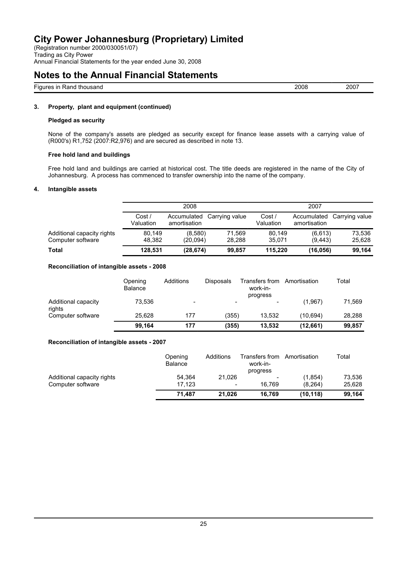(Registration number 2000/030051/07) Trading as City Power Annual Financial Statements for the year ended June 30, 2008

### **Notes to the Annual Financial Statements**

Figures in Rand thousand 2007

### **3. Property, plant and equipment (continued)**

#### **Pledged as security**

None of the company's assets are pledged as security except for finance lease assets with a carrying value of (R000's) R1,752 (2007:R2,976) and are secured as described in note 13.

#### **Free hold land and buildings**

Free hold land and buildings are carried at historical cost. The title deeds are registered in the name of the City of Johannesburg. A process has commenced to transfer ownership into the name of the company.

#### **4. Intangible assets**

|                            |                     | 2008                        |                |                    | 2007                        |                |
|----------------------------|---------------------|-----------------------------|----------------|--------------------|-----------------------------|----------------|
|                            | Cost /<br>Valuation | Accumulated<br>amortisation | Carrying value | Cost/<br>Valuation | Accumulated<br>amortisation | Carrying value |
| Additional capacity rights | 80,149              | (8,580)                     | 71.569         | 80.149             | (6,613)                     | 73.536         |
| Computer software          | 48.382              | (20,094)                    | 28.288         | 35.071             | (9.443)                     | 25.628         |
| Total                      | 128.531             | (28, 674)                   | 99.857         | 115.220            | (16, 056)                   | 99.164         |

#### **Reconciliation of intangible assets - 2008**

|                               | Opening<br>Balance | Additions                | <b>Disposals</b>         | Transfers from<br>work-in-<br>progress | Amortisation | Total  |
|-------------------------------|--------------------|--------------------------|--------------------------|----------------------------------------|--------------|--------|
| Additional capacity<br>rights | 73.536             | $\overline{\phantom{a}}$ | $\overline{\phantom{a}}$ |                                        | (1,967)      | 71.569 |
| Computer software             | 25.628             | 177                      | (355)                    | 13.532                                 | (10.694)     | 28,288 |
|                               | 99.164             | 177                      | (355)                    | 13.532                                 | (12,661)     | 99,857 |

#### **Reconciliation of intangible assets - 2007**

|                            | Opening<br><b>Balance</b> | Additions                | Transfers from<br>work-in-<br>progress | Amortisation | Total  |
|----------------------------|---------------------------|--------------------------|----------------------------------------|--------------|--------|
| Additional capacity rights | 54.364                    | 21.026                   | -                                      | (1, 854)     | 73.536 |
| Computer software          | 17.123                    | $\overline{\phantom{a}}$ | 16.769                                 | (8.264)      | 25.628 |
|                            | 71.487                    | 21.026                   | 16.769                                 | (10.118)     | 99.164 |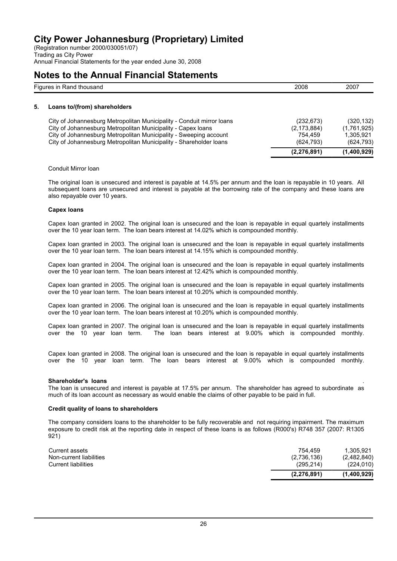(Registration number 2000/030051/07) Trading as City Power Annual Financial Statements for the year ended June 30, 2008

### **Notes to the Annual Financial Statements**

|    | Figures in Rand thousand                                                                                                                                                                                                                                                         | 2008                                                 | 2007                                                 |
|----|----------------------------------------------------------------------------------------------------------------------------------------------------------------------------------------------------------------------------------------------------------------------------------|------------------------------------------------------|------------------------------------------------------|
| 5. | Loans to/(from) shareholders                                                                                                                                                                                                                                                     |                                                      |                                                      |
|    | City of Johannesburg Metropolitan Municipality - Conduit mirror loans<br>City of Johannesburg Metropolitan Municipality - Capex Ioans<br>City of Johannesburg Metropolitan Municipality - Sweeping account<br>City of Johannesburg Metropolitan Municipality - Shareholder Ioans | (232, 673)<br>(2, 173, 884)<br>754.459<br>(624, 793) | (320, 132)<br>(1,761,925)<br>1.305.921<br>(624, 793) |
|    |                                                                                                                                                                                                                                                                                  | (2, 276, 891)                                        | (1,400,929)                                          |

#### Conduit Mirror loan

The original loan is unsecured and interest is payable at 14.5% per annum and the loan is repayable in 10 years. All subsequent loans are unsecured and interest is payable at the borrowing rate of the company and these loans are also repayable over 10 years.

#### **Capex loans**

Capex loan granted in 2002. The original loan is unsecured and the loan is repayable in equal quartely installments over the 10 year loan term. The loan bears interest at 14.02% which is compounded monthly.

Capex loan granted in 2003. The original loan is unsecured and the loan is repayable in equal quartely installments over the 10 year loan term. The loan bears interest at 14.15% which is compounded monthly.

Capex loan granted in 2004. The original loan is unsecured and the loan is repayable in equal quartely installments over the 10 year loan term. The loan bears interest at 12.42% which is compounded monthly.

Capex loan granted in 2005. The original loan is unsecured and the loan is repayable in equal quartely installments over the 10 year loan term. The loan bears interest at 10.20% which is compounded monthly.

Capex loan granted in 2006. The original loan is unsecured and the loan is repayable in equal quartely installments over the 10 year loan term. The loan bears interest at 10.20% which is compounded monthly.

Capex loan granted in 2007. The original loan is unsecured and the loan is repayable in equal quartely installments over the 10 year loan term. The loan bears interest at 9.00% which is compounded monthly. The loan bears interest at 9.00% which is compounded monthly.

Capex loan granted in 2008. The original loan is unsecured and the loan is repayable in equal quartely installments over the 10 year loan term. The loan bears interest at 9.00% which is compounded monthly.

#### **Shareholder's loans** .

The loan is unsecured and interest is payable at 17.5% per annum. The shareholder has agreed to subordinate as much of its loan account as necessary as would enable the claims of other payable to be paid in full.

### **Credit quality of loans to shareholders**

The company considers loans to the shareholder to be fully recoverable and not requiring impairment. The maximum exposure to credit risk at the reporting date in respect of these loans is as follows (R000's) R748 357 (2007: R1305 921)

| (2,736,136)<br>(295.214) | (2.482.840)<br>(224, 010) |
|--------------------------|---------------------------|
|                          |                           |
|                          |                           |
| 754.459                  | 1.305.921                 |
|                          |                           |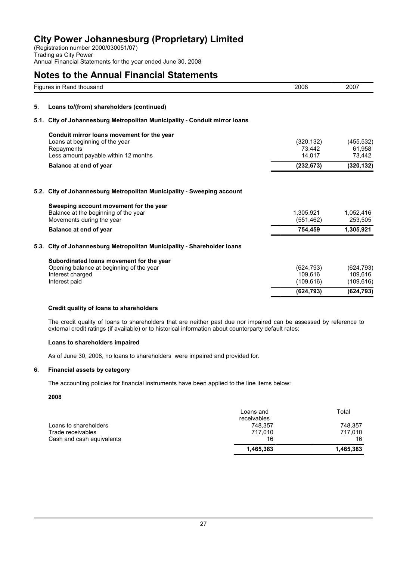(Registration number 2000/030051/07) Trading as City Power Annual Financial Statements for the year ended June 30, 2008

# **Notes to the Annual Financial Statements**

|      | Figures in Rand thousand                                              | 2008       | 2007       |
|------|-----------------------------------------------------------------------|------------|------------|
| 5.   | Loans to/(from) shareholders (continued)                              |            |            |
| 5.1. | City of Johannesburg Metropolitan Municipality - Conduit mirror loans |            |            |
|      | Conduit mirror loans movement for the year                            |            |            |
|      | Loans at beginning of the year                                        | (320, 132) | (455, 532) |
|      | Repayments                                                            | 73,442     | 61,958     |
|      | Less amount payable within 12 months                                  | 14.017     | 73,442     |
|      | Balance at end of year                                                | (232, 673) | (320, 132) |
| 5.2. | City of Johannesburg Metropolitan Municipality - Sweeping account     |            |            |
|      | Sweeping account movement for the year                                |            |            |
|      | Balance at the beginning of the year                                  | 1.305.921  | 1,052,416  |
|      | Movements during the year                                             | (551, 462) | 253,505    |
|      | Balance at end of year                                                | 754,459    | 1,305,921  |
| 5.3. | City of Johannesburg Metropolitan Municipality - Shareholder Ioans    |            |            |
|      | Subordinated loans movement for the year                              |            |            |
|      | Opening balance at beginning of the year                              | (624, 793) | (624, 793) |
|      | Interest charged                                                      | 109.616    | 109.616    |
|      | Interest paid                                                         | (109, 616) | (109, 616) |
|      |                                                                       | (624, 793) | (624, 793) |

#### **Credit quality of loans to shareholders**

The credit quality of loans to shareholders that are neither past due nor impaired can be assessed by reference to external credit ratings (if available) or to historical information about counterparty default rates:

#### **Loans to shareholders impaired**

As of June 30, 2008, no loans to shareholders were impaired and provided for.

#### **6. Financial assets by category**

The accounting policies for financial instruments have been applied to the line items below:

**2008**

|                           | Loans and<br>receivables | Total     |
|---------------------------|--------------------------|-----------|
| Loans to shareholders     | 748.357                  | 748.357   |
| Trade receivables         | 717.010                  | 717.010   |
| Cash and cash equivalents | 16                       | 16        |
|                           | 1,465,383                | 1.465.383 |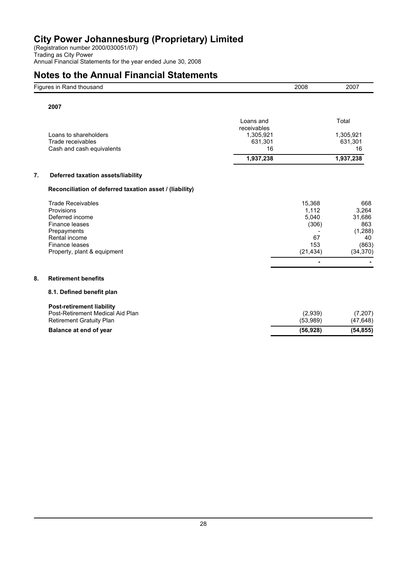(Registration number 2000/030051/07) Trading as City Power Annual Financial Statements for the year ended June 30, 2008

# **Notes to the Annual Financial Statements**

| Figures in Rand thousand                                                                                                                                     |                                                                     | 2008                                                        | 2007                                                                  |
|--------------------------------------------------------------------------------------------------------------------------------------------------------------|---------------------------------------------------------------------|-------------------------------------------------------------|-----------------------------------------------------------------------|
| 2007                                                                                                                                                         |                                                                     |                                                             |                                                                       |
| Loans to shareholders<br>Trade receivables<br>Cash and cash equivalents                                                                                      | Loans and<br>receivables<br>1,305,921<br>631,301<br>16<br>1,937,238 |                                                             | Total<br>1,305,921<br>631,301<br>16<br>1,937,238                      |
| 7.<br>Deferred taxation assets/liability                                                                                                                     |                                                                     |                                                             |                                                                       |
| Reconciliation of deferred taxation asset / (liability)                                                                                                      |                                                                     |                                                             |                                                                       |
| <b>Trade Receivables</b><br>Provisions<br>Deferred income<br>Finance leases<br>Prepayments<br>Rental income<br>Finance leases<br>Property, plant & equipment |                                                                     | 15,368<br>1,112<br>5,040<br>(306)<br>67<br>153<br>(21, 434) | 668<br>3,264<br>31,686<br>863<br>(1, 288)<br>40<br>(863)<br>(34, 370) |
| 8.<br><b>Retirement benefits</b>                                                                                                                             |                                                                     |                                                             |                                                                       |
| 8.1. Defined benefit plan                                                                                                                                    |                                                                     |                                                             |                                                                       |
| <b>Post-retirement liability</b><br>Post-Retirement Medical Aid Plan<br><b>Retirement Gratuity Plan</b>                                                      |                                                                     | (2,939)<br>(53,989)                                         | (7,207)<br>(47, 648)                                                  |
| Balance at end of year                                                                                                                                       |                                                                     | (56, 928)                                                   | (54, 855)                                                             |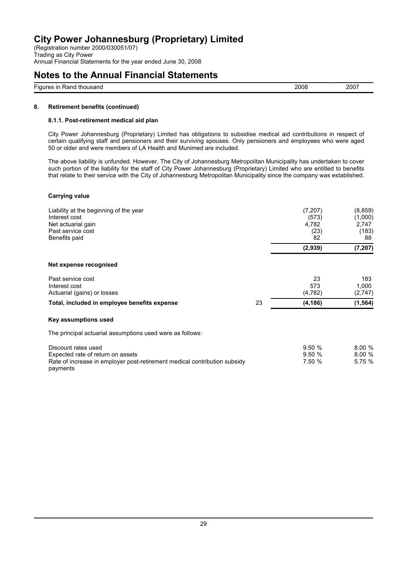(Registration number 2000/030051/07) Trading as City Power Annual Financial Statements for the year ended June 30, 2008

### **Notes to the Annual Financial Statements**

| $- \cdot$<br><b>110</b><br><b>Ligt</b><br>$\sim$<br>ш.<br>-<br><b>21 IL</b><br>ланк<br>.<br>____ | 2008<br>. | $\sim$ $-$<br>201<br>$ -$<br>____ |
|--------------------------------------------------------------------------------------------------|-----------|-----------------------------------|
|                                                                                                  |           |                                   |

### **8. Retirement benefits (continued)**

#### **8.1.1. Post-retirement medical aid plan**

City Power Johannesburg (Proprietary) Limited has obligations to subsidise medical aid contributions in respect of certain qualifying staff and pensioners and their surviving spouses. Only pensioners and employees who were aged 50 or older and were members of LA Health and Munimed are included.

The above liability is unfunded. However, The City of Johannesburg Metropolitan Municipality has undertaken to cover such portion of the liability for the staff of City Power Johannesburg (Proprietary) Limited who are entitled to benefits that relate to their service with the City of Johannesburg Metropolitan Municipality since the company was established.

#### **Carrying value**

| Liability at the beginning of the year<br>Interest cost<br>Net actuarial gain<br>Past service cost<br>Benefits paid                               |    | (7, 207)<br>(573)<br>4,782<br>(23)<br>82 | (8, 859)<br>(1,000)<br>2,747<br>(183)<br>88 |
|---------------------------------------------------------------------------------------------------------------------------------------------------|----|------------------------------------------|---------------------------------------------|
|                                                                                                                                                   |    | (2,939)                                  | (7, 207)                                    |
| Net expense recognised                                                                                                                            |    |                                          |                                             |
| Past service cost<br>Interest cost<br>Actuarial (gains) or losses                                                                                 |    | 23<br>573<br>(4,782)                     | 183<br>1,000<br>(2,747)                     |
| Total, included in employee benefits expense                                                                                                      | 23 | (4, 186)                                 | (1, 564)                                    |
| Key assumptions used                                                                                                                              |    |                                          |                                             |
| The principal actuarial assumptions used were as follows:                                                                                         |    |                                          |                                             |
| Discount rates used<br>Expected rate of return on assets<br>Rate of increase in employer post-retirement medical contribution subsidy<br>payments |    | 9.50%<br>9.50%<br>7.50 %                 | 8.00%<br>8.00%<br>5.75 %                    |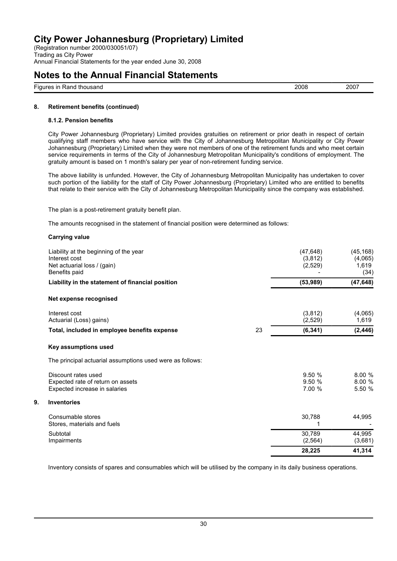(Registration number 2000/030051/07) Trading as City Power Annual Financial Statements for the year ended June 30, 2008

### **Notes to the Annual Financial Statements**

Figures in Rand thousand 2008 2007

#### **8. Retirement benefits (continued)**

#### **8.1.2. Pension benefits**

City Power Johannesburg (Proprietary) Limited provides gratuities on retirement or prior death in respect of certain qualifying staff members who have service with the City of Johannesburg Metropolitan Municipality or City Power Johannesburg (Proprietary) Limited when they were not members of one of the retirement funds and who meet certain service requirements in terms of the City of Johannesburg Metropolitan Municipality's conditions of employment. The gratuity amount is based on 1 month's salary per year of non-retirement funding service.

The above liability is unfunded. However, the City of Johannesburg Metropolitan Municipality has undertaken to cover such portion of the liability for the staff of City Power Johannesburg (Proprietary) Limited who are entitled to benefits that relate to their service with the City of Johannesburg Metropolitan Municipality since the company was established.

The plan is a post-retirement gratuity benefit plan.

The amounts recognised in the statement of financial position were determined as follows:

#### **Carrying value**

| Liability at the beginning of the year<br>Interest cost<br>Net actuarial loss / (gain)<br>Benefits paid |                                                           |    | (47, 648)<br>(3,812)<br>(2,529) | (45, 168)<br>(4,065)<br>1.619<br>(34) |
|---------------------------------------------------------------------------------------------------------|-----------------------------------------------------------|----|---------------------------------|---------------------------------------|
|                                                                                                         | Liability in the statement of financial position          |    | (53, 989)                       | (47, 648)                             |
| Net expense recognised                                                                                  |                                                           |    |                                 |                                       |
| Interest cost<br>Actuarial (Loss) gains)                                                                |                                                           |    | (3,812)<br>(2,529)              | (4,065)<br>1,619                      |
|                                                                                                         | Total, included in employee benefits expense              | 23 | (6, 341)                        | (2, 446)                              |
| Key assumptions used                                                                                    |                                                           |    |                                 |                                       |
|                                                                                                         | The principal actuarial assumptions used were as follows: |    |                                 |                                       |
| Discount rates used<br>Expected rate of return on assets<br>Expected increase in salaries               |                                                           |    | 9.50%<br>9.50%<br>7.00 %        | 8.00 %<br>8.00%<br>5.50 %             |
| 9.<br><b>Inventories</b>                                                                                |                                                           |    |                                 |                                       |
| Consumable stores<br>Stores, materials and fuels                                                        |                                                           |    | 30,788<br>1                     | 44,995                                |
| Subtotal<br>Impairments                                                                                 |                                                           |    | 30,789<br>(2, 564)              | 44,995<br>(3,681)                     |
|                                                                                                         |                                                           |    | 28,225                          | 41,314                                |

Inventory consists of spares and consumables which will be utilised by the company in its daily business operations.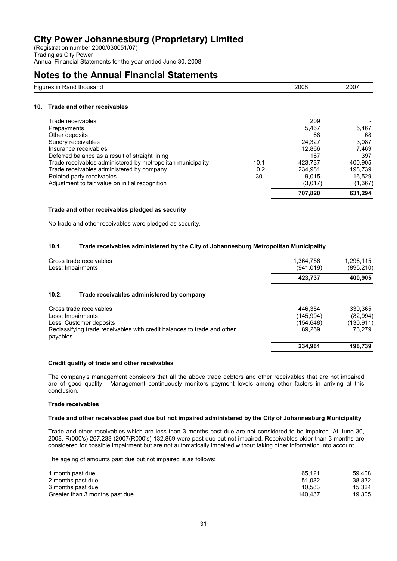(Registration number 2000/030051/07) Trading as City Power Annual Financial Statements for the year ended June 30, 2008

# **Notes to the Annual Financial Statements**

|     | Figures in Rand thousand                                    |      | 2008    | 2007     |
|-----|-------------------------------------------------------------|------|---------|----------|
| 10. | Trade and other receivables                                 |      |         |          |
|     | Trade receivables                                           |      | 209     |          |
|     | Prepayments                                                 |      | 5,467   | 5,467    |
|     | Other deposits                                              |      | 68      | 68       |
|     | Sundry receivables                                          |      | 24,327  | 3,087    |
|     | Insurance receivables                                       |      | 12.866  | 7.469    |
|     | Deferred balance as a result of straight lining             |      | 167     | 397      |
|     | Trade receivables administered by metropolitan municipality | 10.1 | 423,737 | 400.905  |
|     | Trade receivables administered by company                   | 10.2 | 234.981 | 198.739  |
|     | Related party receivables                                   | 30   | 9.015   | 16.529   |
|     | Adjustment to fair value on initial recognition             |      | (3,017) | (1, 367) |
|     |                                                             |      | 707,820 | 631,294  |

#### **Trade and other receivables pledged as security**

No trade and other receivables were pledged as security.

### **10.1. Trade receivables administered by the City of Johannesburg Metropolitan Municipality**

| Gross trade receivables<br>Less: Impairments                                                                                                                   | 1,364,756<br>(941.019)                       | 1,296,115<br>(895, 210)                     |
|----------------------------------------------------------------------------------------------------------------------------------------------------------------|----------------------------------------------|---------------------------------------------|
|                                                                                                                                                                | 423.737                                      | 400,905                                     |
| 10.2.<br>Trade receivables administered by company                                                                                                             |                                              |                                             |
| Gross trade receivables<br>Less: Impairments<br>Less: Customer deposits<br>Reclassifying trade receivables with credit balances to trade and other<br>payables | 446.354<br>(145, 994)<br>(154,648)<br>89.269 | 339,365<br>(82,994)<br>(130, 911)<br>73.279 |
|                                                                                                                                                                | 234,981                                      | 198,739                                     |

#### **Credit quality of trade and other receivables**

The company's management considers that all the above trade debtors and other receivables that are not impaired are of good quality. Management continuously monitors payment levels among other factors in arriving at this conclusion.

#### **Trade receivables**

#### **Trade and other receivables past due but not impaired administered by the City of Johannesburg Municipality**

Trade and other receivables which are less than 3 months past due are not considered to be impaired. At June 30, 2008, R(000's) 267,233 (2007(R000's) 132,869 were past due but not impaired. Receivables older than 3 months are considered for possible impairment but are not automatically impaired without taking other information into account.

The ageing of amounts past due but not impaired is as follows:

| 51.082  | 59.408<br>38.832<br>15.324 |
|---------|----------------------------|
| 140.437 | 19.305                     |
|         | 65.121<br>10.583           |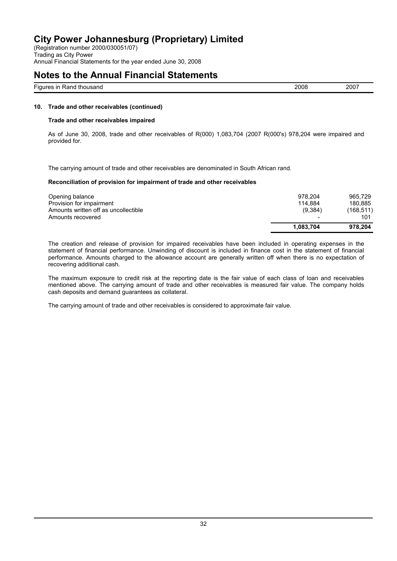(Registration number 2000/030051/07) Trading as City Power Annual Financial Statements for the year ended June 30, 2008

### **Notes to the Annual Financial Statements**

| $- \cdot$<br>.<br>thousand<br>⊢ιαι<br>וחכ<br>ναι ιι<br>.<br>.<br>____ | ∠008<br>. | 2007 |
|-----------------------------------------------------------------------|-----------|------|
|                                                                       |           |      |

### **10. Trade and other receivables (continued)**

#### **Trade and other receivables impaired**

As of June 30, 2008, trade and other receivables of R(000) 1,083,704 (2007 R(000's) 978,204 were impaired and provided for.

The carrying amount of trade and other receivables are denominated in South African rand.

#### **Reconciliation of provision for impairment of trade and other receivables**

| 1.083.704                | 978.204    |
|--------------------------|------------|
| $\overline{\phantom{a}}$ | 101        |
| (9,384)                  | (168, 511) |
| 114.884                  | 180.885    |
| 978.204                  | 965.729    |
|                          |            |

The creation and release of provision for impaired receivables have been included in operating expenses in the statement of financial performance. Unwinding of discount is included in finance cost in the statement of financial performance. Amounts charged to the allowance account are generally written off when there is no expectation of recovering additional cash.

The maximum exposure to credit risk at the reporting date is the fair value of each class of loan and receivables mentioned above. The carrying amount of trade and other receivables is measured fair value. The company holds cash deposits and demand guarantees as collateral.

The carrying amount of trade and other receivables is considered to approximate fair value.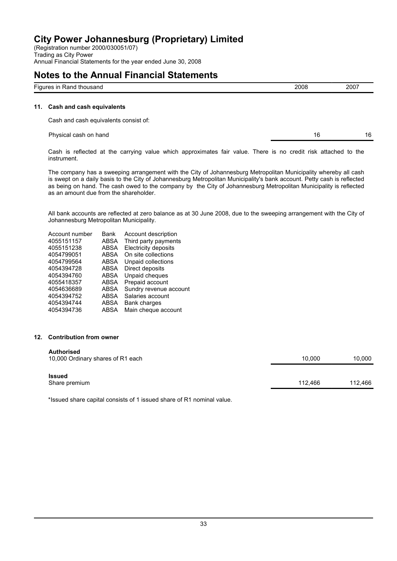(Registration number 2000/030051/07) Trading as City Power Annual Financial Statements for the year ended June 30, 2008

# **Notes to the Annual Financial Statements**

#### **11. Cash and cash equivalents**

Cash and cash equivalents consist of:

Physical cash on hand 16 16

Cash is reflected at the carrying value which approximates fair value. There is no credit risk attached to the instrument.

The company has a sweeping arrangement with the City of Johannesburg Metropolitan Municipality whereby all cash is swept on a daily basis to the City of Johannesburg Metropolitan Municipality's bank account. Petty cash is reflected as being on hand. The cash owed to the company by the City of Johannesburg Metropolitan Municipality is reflected as an amount due from the shareholder.

All bank accounts are reflected at zero balance as at 30 June 2008, due to the sweeping arrangement with the City of Johannesburg Metropolitan Municipality.

| Account number | Bank        | Account description         |
|----------------|-------------|-----------------------------|
| 4055151157     | ABSA        | Third party payments        |
| 4055151238     | ABSA        | <b>Electricity deposits</b> |
| 4054799051     | ABSA        | On site collections         |
| 4054799564     | <b>ABSA</b> | Unpaid collections          |
| 4054394728     | ABSA        | Direct deposits             |
| 4054394760     | ABSA        | Unpaid cheques              |
| 4055418357     | <b>ABSA</b> | Prepaid account             |
| 4054636689     | ABSA        | Sundry revenue account      |
| 4054394752     | <b>ABSA</b> | Salaries account            |
| 4054394744     | ABSA        | Bank charges                |
| 4054394736     | ABSA        | Main cheque account         |
|                |             |                             |

#### **12. Contribution from owner**

#### **Authorised**

| 10,000 Ordinary shares of R1 each | 10.000  | 10,000  |
|-----------------------------------|---------|---------|
| <b>Issued</b><br>Share premium    | 112.466 | 112,466 |

\*Issued share capital consists of 1 issued share of R1 nominal value.

Figures in Rand thousand 2008 2007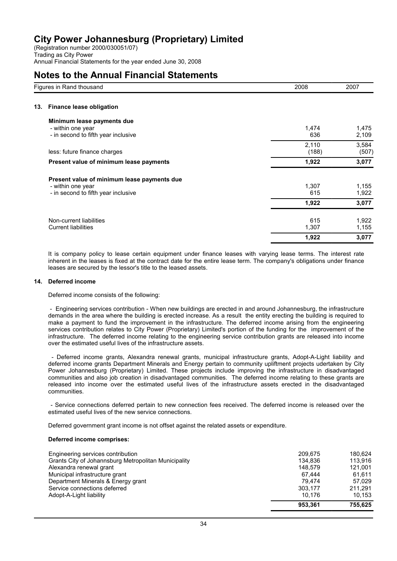(Registration number 2000/030051/07) Trading as City Power Annual Financial Statements for the year ended June 30, 2008

# **Notes to the Annual Financial Statements**

|     | Figures in Rand thousand                    | 2008  | 2007  |  |
|-----|---------------------------------------------|-------|-------|--|
| 13. | <b>Finance lease obligation</b>             |       |       |  |
|     | Minimum lease payments due                  |       |       |  |
|     | - within one year                           | 1,474 | 1,475 |  |
|     | - in second to fifth year inclusive         | 636   | 2,109 |  |
|     |                                             | 2,110 | 3,584 |  |
|     | less: future finance charges                | (188) | (507) |  |
|     | Present value of minimum lease payments     | 1,922 | 3,077 |  |
|     | Present value of minimum lease payments due |       |       |  |
|     | - within one year                           | 1,307 | 1,155 |  |
|     | - in second to fifth year inclusive         | 615   | 1,922 |  |
|     |                                             | 1,922 | 3,077 |  |
|     | Non-current liabilities                     | 615   | 1,922 |  |
|     | <b>Current liabilities</b>                  | 1,307 | 1,155 |  |
|     |                                             | 1,922 | 3,077 |  |

It is company policy to lease certain equipment under finance leases with varying lease terms. The interest rate inherent in the leases is fixed at the contract date for the entire lease term. The company's obligations under finance leases are secured by the lessor's title to the leased assets.

#### **14. Deferred income**

Deferred income consists of the following:

- Engineering services contribution - When new buildings are erected in and around Johannesburg, the infrastructure demands in the area where the building is erected increase. As a result the entity erecting the building is required to make a payment to fund the improvement in the infrastructure. The deferred income arising from the engineering services contribution relates to City Power (Proprietary) Limited's portion of the funding for the improvement of the infrastructure. The deferred income relating to the engineering service contribution grants are released into income over the estimated useful lives of the infrastructure assets.

- Deferred income grants, Alexandra renewal grants, municipal infrastructure grants, Adopt-A-Light liability and deferred income grants Department Minerals and Energy pertain to community upliftment projects udertaken by City Power Johannesburg (Proprietary) Limited. These projects include improving the infrastructure in disadvantaged communities and also job creation in disadvantaged communities. The deferred income relating to these grants are released into income over the estimated useful lives of the infrastructure assets erected in the disadvantaged communities.

- Service connections deferred pertain to new connection fees received. The deferred income is released over the estimated useful lives of the new service connections.

Deferred government grant income is not offset against the related assets or expenditure.

#### **Deferred income comprises:**

| Engineering services contribution                    | 209.675 | 180.624 |
|------------------------------------------------------|---------|---------|
| Grants City of Johannsburg Metropolitan Municipality | 134.836 | 113.916 |
| Alexandra renewal grant                              | 148.579 | 121.001 |
| Municipal infrastructure grant                       | 67.444  | 61.611  |
| Department Minerals & Energy grant                   | 79.474  | 57.029  |
| Service connections deferred                         | 303.177 | 211.291 |
| Adopt-A-Light liability                              | 10.176  | 10.153  |
|                                                      | 953.361 | 755.625 |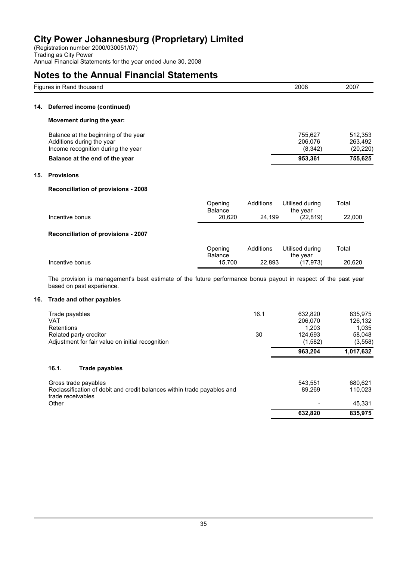(Registration number 2000/030051/07) Trading as City Power Annual Financial Statements for the year ended June 30, 2008

### **Notes to the Annual Financial Statements**

|     |                              | Figures in Rand thousand                                                                                                                    |                           |           | 2008                           | 2007                            |
|-----|------------------------------|---------------------------------------------------------------------------------------------------------------------------------------------|---------------------------|-----------|--------------------------------|---------------------------------|
| 14. |                              | Deferred income (continued)                                                                                                                 |                           |           |                                |                                 |
|     |                              | Movement during the year:                                                                                                                   |                           |           |                                |                                 |
|     |                              | Balance at the beginning of the year<br>Additions during the year<br>Income recognition during the year                                     |                           |           | 755,627<br>206,076<br>(8, 342) | 512,353<br>263,492<br>(20, 220) |
|     |                              | Balance at the end of the year                                                                                                              |                           |           | 953,361                        | 755,625                         |
| 15. | <b>Provisions</b>            |                                                                                                                                             |                           |           |                                |                                 |
|     |                              | Reconciliation of provisions - 2008                                                                                                         |                           |           |                                |                                 |
|     |                              |                                                                                                                                             | Opening<br>Balance        | Additions | Utilised during<br>the year    | Total                           |
|     | Incentive bonus              |                                                                                                                                             | 20,620                    | 24,199    | (22, 819)                      | 22,000                          |
|     |                              | Reconciliation of provisions - 2007                                                                                                         |                           |           |                                |                                 |
|     |                              |                                                                                                                                             | Opening<br><b>Balance</b> | Additions | Utilised during<br>the year    | Total                           |
|     | Incentive bonus              |                                                                                                                                             | 15,700                    | 22,893    | (17, 973)                      | 20,620                          |
|     |                              | The provision is management's best estimate of the future performance bonus payout in respect of the past year<br>based on past experience. |                           |           |                                |                                 |
| 16. |                              | Trade and other payables                                                                                                                    |                           |           |                                |                                 |
|     | Trade payables<br><b>VAT</b> |                                                                                                                                             |                           | 16.1      | 632,820<br>206,070             | 835,975<br>126,132              |
|     | Retentions                   | Related party creditor<br>Adjustment for fair value on initial recognition                                                                  |                           | 30        | 1,203<br>124,693<br>(1, 582)   | 1,035<br>58,048<br>(3, 558)     |
|     |                              |                                                                                                                                             |                           |           | 963,204                        | 1,017,632                       |
|     | 16.1.                        | <b>Trade payables</b>                                                                                                                       |                           |           |                                |                                 |
|     |                              | Gross trade payables                                                                                                                        |                           |           | 543,551                        | 680,621                         |
|     |                              | Reclassification of debit and credit balances within trade payables and<br>trade receivables                                                |                           |           | 89,269                         | 110,023                         |
|     | Other                        |                                                                                                                                             |                           |           |                                | 45,331                          |
|     |                              |                                                                                                                                             |                           |           | 632,820                        | 835,975                         |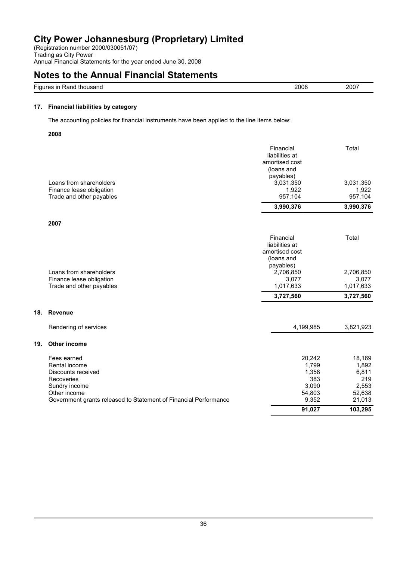(Registration number 2000/030051/07) Trading as City Power Annual Financial Statements for the year ended June 30, 2008

# **Notes to the Annual Financial Statements**

| --<br>Fiai "<br>$\overline{1}$<br>. .<br>'sanc<br>יוומי<br><br>.<br>. . | <br>. .<br>ากร<br>. | $  -$ |
|-------------------------------------------------------------------------|---------------------|-------|
|                                                                         |                     |       |

### **17. Financial liabilities by category**

The accounting policies for financial instruments have been applied to the line items below:

#### **2008**

**18. Revenue**

**19.** 

|                                                                  | Financial<br>liabilities at<br>amortised cost | Total              |
|------------------------------------------------------------------|-----------------------------------------------|--------------------|
|                                                                  | (loans and<br>payables)                       |                    |
| Loans from shareholders                                          | 3,031,350                                     | 3,031,350          |
| Finance lease obligation<br>Trade and other payables             | 1,922<br>957,104                              | 1,922<br>957,104   |
|                                                                  | 3,990,376                                     | 3,990,376          |
| 2007                                                             |                                               |                    |
|                                                                  | Financial                                     | Total              |
|                                                                  | liabilities at                                |                    |
|                                                                  | amortised cost                                |                    |
|                                                                  | (loans and<br>payables)                       |                    |
| Loans from shareholders                                          | 2,706,850                                     | 2,706,850          |
| Finance lease obligation<br>Trade and other payables             | 3,077<br>1,017,633                            | 3,077<br>1,017,633 |
|                                                                  | 3,727,560                                     | 3,727,560          |
|                                                                  |                                               |                    |
| <b>Revenue</b>                                                   |                                               |                    |
| Rendering of services                                            | 4,199,985                                     | 3,821,923          |
| <b>Other income</b>                                              |                                               |                    |
| Fees earned                                                      | 20,242                                        | 18,169             |
| Rental income                                                    | 1,799                                         | 1,892              |
| Discounts received<br>Recoveries                                 | 1,358<br>383                                  | 6,811<br>219       |
| Sundry income                                                    | 3,090                                         | 2,553              |
| Other income                                                     | 54,803                                        | 52,638             |
| Government grants released to Statement of Financial Performance | 9,352                                         | 21,013             |
|                                                                  | 91,027                                        | 103,295            |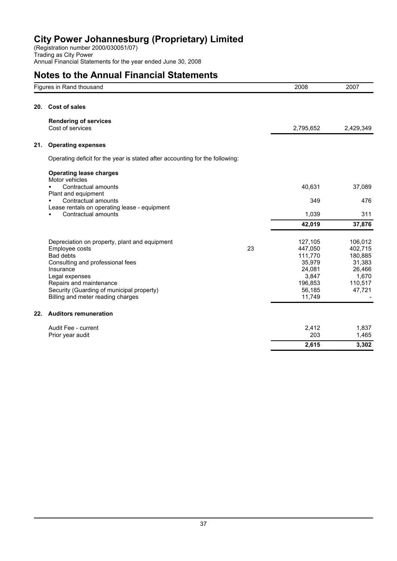(Registration number 2000/030051/07) Trading as City Power Annual Financial Statements for the year ended June 30, 2008

# **Notes to the Annual Financial Statements**

|     | Figures in Rand thousand                                                                                                                                                                                                                                            |    | 2008                                                                                      | 2007                                                                            |
|-----|---------------------------------------------------------------------------------------------------------------------------------------------------------------------------------------------------------------------------------------------------------------------|----|-------------------------------------------------------------------------------------------|---------------------------------------------------------------------------------|
| 20. | <b>Cost of sales</b>                                                                                                                                                                                                                                                |    |                                                                                           |                                                                                 |
|     | <b>Rendering of services</b><br>Cost of services                                                                                                                                                                                                                    |    | 2,795,652                                                                                 | 2,429,349                                                                       |
| 21. | <b>Operating expenses</b>                                                                                                                                                                                                                                           |    |                                                                                           |                                                                                 |
|     | Operating deficit for the year is stated after accounting for the following:                                                                                                                                                                                        |    |                                                                                           |                                                                                 |
|     | <b>Operating lease charges</b>                                                                                                                                                                                                                                      |    |                                                                                           |                                                                                 |
|     | Motor vehicles<br>Contractual amounts                                                                                                                                                                                                                               |    | 40,631                                                                                    | 37,089                                                                          |
|     | Plant and equipment<br>Contractual amounts                                                                                                                                                                                                                          |    | 349                                                                                       | 476                                                                             |
|     | Lease rentals on operating lease - equipment<br>Contractual amounts                                                                                                                                                                                                 |    | 1,039                                                                                     | 311                                                                             |
|     |                                                                                                                                                                                                                                                                     |    | 42,019                                                                                    | 37,876                                                                          |
|     | Depreciation on property, plant and equipment<br>Employee costs<br><b>Bad debts</b><br>Consulting and professional fees<br>Insurance<br>Legal expenses<br>Repairs and maintenance<br>Security (Guarding of municipal property)<br>Billing and meter reading charges | 23 | 127,105<br>447,050<br>111,770<br>35,979<br>24,081<br>3,847<br>196,853<br>56,185<br>11,749 | 106,012<br>402,715<br>180,885<br>31,383<br>26,466<br>1,670<br>110,517<br>47,721 |
| 22. | <b>Auditors remuneration</b>                                                                                                                                                                                                                                        |    |                                                                                           |                                                                                 |
|     | Audit Fee - current<br>Prior year audit                                                                                                                                                                                                                             |    | 2,412<br>203                                                                              | 1,837<br>1,465                                                                  |
|     |                                                                                                                                                                                                                                                                     |    | 2,615                                                                                     | 3,302                                                                           |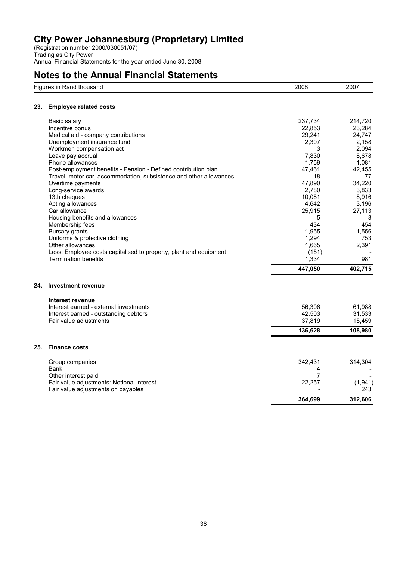(Registration number 2000/030051/07) Trading as City Power Annual Financial Statements for the year ended June 30, 2008

# **Notes to the Annual Financial Statements**

|     | Figures in Rand thousand                                                                         | 2008           | 2007    |
|-----|--------------------------------------------------------------------------------------------------|----------------|---------|
| 23. | <b>Employee related costs</b>                                                                    |                |         |
|     | Basic salary                                                                                     | 237,734        | 214,720 |
|     | Incentive bonus                                                                                  | 22,853         | 23,284  |
|     | Medical aid - company contributions                                                              | 29,241         | 24,747  |
|     | Unemployment insurance fund                                                                      | 2,307          | 2,158   |
|     | Workmen compensation act                                                                         | 3              | 2,094   |
|     | Leave pay accrual                                                                                | 7,830          | 8,678   |
|     | Phone allowances                                                                                 | 1,759          | 1,081   |
|     | Post-employment benefits - Pension - Defined contribution plan                                   | 47,461         | 42,455  |
|     | Travel, motor car, accommodation, subsistence and other allowances                               | 18             | 77      |
|     | Overtime payments                                                                                | 47,890         | 34,220  |
|     | Long-service awards                                                                              | 2,780          | 3,833   |
|     | 13th cheques                                                                                     | 10,081         | 8,916   |
|     | Acting allowances                                                                                | 4,642          | 3,196   |
|     | Car allowance                                                                                    | 25,915         | 27,113  |
|     | Housing benefits and allowances                                                                  | 5              | 8       |
|     | Membership fees                                                                                  | 434            | 454     |
|     | <b>Bursary grants</b>                                                                            | 1,955          | 1,556   |
|     | Uniforms & protective clothing                                                                   | 1,294          | 753     |
|     | Other allowances                                                                                 | 1,665          | 2,391   |
|     | Less: Employee costs capitalised to property, plant and equipment<br><b>Termination benefits</b> | (151)<br>1,334 | 981     |
|     |                                                                                                  | 447,050        | 402,715 |
|     |                                                                                                  |                |         |
| 24. | <b>Investment revenue</b>                                                                        |                |         |
|     | Interest revenue                                                                                 |                |         |
|     | Interest earned - external investments                                                           | 56,306         | 61,988  |
|     | Interest earned - outstanding debtors                                                            | 42,503         | 31,533  |
|     | Fair value adjustments                                                                           | 37,819         | 15,459  |
|     |                                                                                                  | 136,628        | 108,980 |
| 25. | <b>Finance costs</b>                                                                             |                |         |
|     | Group companies                                                                                  | 342,431        | 314,304 |
|     | Bank                                                                                             | 4              |         |
|     | Other interest paid                                                                              | $\overline{7}$ |         |
|     | Fair value adjustments: Notional interest                                                        | 22,257         | (1,941) |
|     | Fair value adjustments on payables                                                               |                | 243     |
|     |                                                                                                  | 364,699        | 312,606 |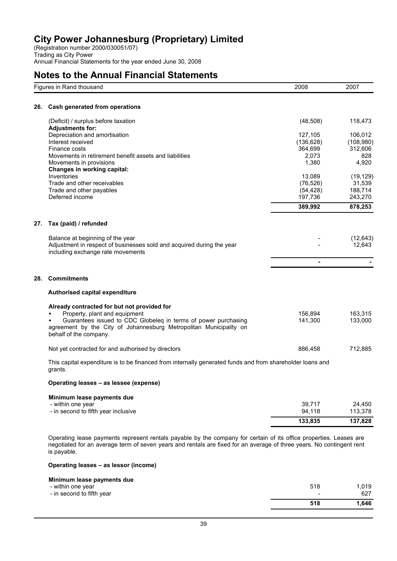(Registration number 2000/030051/07) Trading as City Power Annual Financial Statements for the year ended June 30, 2008

# **Notes to the Annual Financial Statements**

|     | Figures in Rand thousand                                                                                                                                                                                                                       | 2008                                                         | 2007                                                         |
|-----|------------------------------------------------------------------------------------------------------------------------------------------------------------------------------------------------------------------------------------------------|--------------------------------------------------------------|--------------------------------------------------------------|
| 26. | Cash generated from operations                                                                                                                                                                                                                 |                                                              |                                                              |
|     | (Deficit) / surplus before taxation                                                                                                                                                                                                            | (48, 508)                                                    | 118,473                                                      |
|     | <b>Adjustments for:</b><br>Depreciation and amortisation<br>Interest received<br>Finance costs<br>Movements in retirement benefit assets and liabilities<br>Movements in provisions<br>Changes in working capital:<br>Inventories              | 127,105<br>(136, 628)<br>364,699<br>2,073<br>1,380<br>13,089 | 106,012<br>(108,980)<br>312,606<br>828<br>4,920<br>(19, 129) |
|     | Trade and other receivables<br>Trade and other payables<br>Deferred income                                                                                                                                                                     | (76, 526)<br>(54, 428)<br>197,736                            | 31,539<br>188,714<br>243,270                                 |
|     |                                                                                                                                                                                                                                                | 389,992                                                      | 878,253                                                      |
| 27. | Tax (paid) / refunded                                                                                                                                                                                                                          |                                                              |                                                              |
|     | Balance at beginning of the year<br>Adjustment in respect of businesses sold and acquired during the year<br>including exchange rate movements                                                                                                 |                                                              | (12, 643)<br>12,643                                          |
|     |                                                                                                                                                                                                                                                | -                                                            |                                                              |
| 28. | <b>Commitments</b>                                                                                                                                                                                                                             |                                                              |                                                              |
|     | Authorised capital expenditure                                                                                                                                                                                                                 |                                                              |                                                              |
|     | Already contracted for but not provided for<br>Property, plant and equipment<br>Guarantees issued to CDC Globeleq in terms of power purchasing<br>agreement by the City of Johannesburg Metropolitan Municipality on<br>behalf of the company. | 156,894<br>141,300                                           | 163,315<br>133,000                                           |
|     | Not yet contracted for and authorised by directors                                                                                                                                                                                             | 886,458                                                      | 712,885                                                      |
|     | This capital expenditure is to be financed from internally generated funds and from shareholder loans and<br>grants.                                                                                                                           |                                                              |                                                              |
|     | Operating leases - as lessee (expense)                                                                                                                                                                                                         |                                                              |                                                              |
|     | Minimum lease payments due<br>- within one year<br>- in second to fifth year inclusive                                                                                                                                                         | 39,717<br>94,118                                             | 24,450<br>113,378                                            |
|     |                                                                                                                                                                                                                                                | 133,835                                                      | 137,828                                                      |

**Operating leases – as lessor (income)**

is payable.

| Minimum lease payments due<br>- within one year<br>- in second to fifth year | 518<br>$\overline{\phantom{a}}$ | 1.019<br>627 |
|------------------------------------------------------------------------------|---------------------------------|--------------|
|                                                                              | 518                             | 1.646        |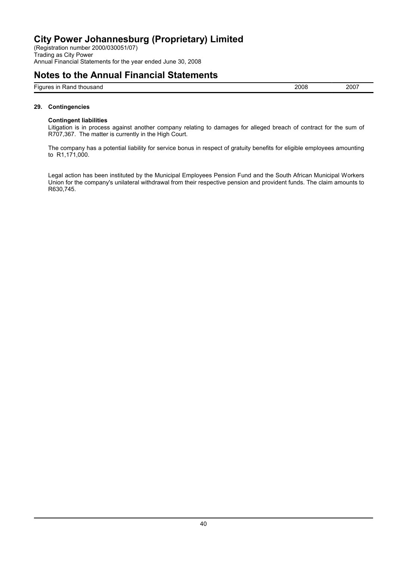(Registration number 2000/030051/07) Trading as City Power Annual Financial Statements for the year ended June 30, 2008

### **Notes to the Annual Financial Statements**

Figures in Rand thousand 2007

### **29. Contingencies**

### **Contingent liabilities**

Litigation is in process against another company relating to damages for alleged breach of contract for the sum of R707,367. The matter is currently in the High Court.

The company has a potential liability for service bonus in respect of gratuity benefits for eligible employees amounting to R1,171,000.

Legal action has been instituted by the Municipal Employees Pension Fund and the South African Municipal Workers Union for the company's unilateral withdrawal from their respective pension and provident funds. The claim amounts to R630,745.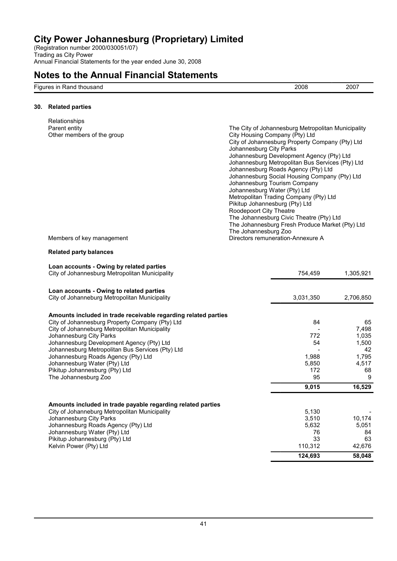(Registration number 2000/030051/07) Trading as City Power Annual Financial Statements for the year ended June 30, 2008

### **Notes to the Annual Financial Statements**

Figures in Rand thousand 2007

**9,015 16,529**

**124,693 58,048**

### **30. Related parties**

| Relationships<br>Parent entity<br>Other members of the group<br>Members of key management                                                                                                                                                                                                       | The City of Johannesburg Metropolitan Municipality<br>City Housing Company (Pty) Ltd<br>City of Johannesburg Property Company (Pty) Ltd<br>Johannesburg City Parks<br>Johannesburg Development Agency (Pty) Ltd<br>Johannesburg Metropolitan Bus Services (Pty) Ltd<br>Johannesburg Roads Agency (Pty) Ltd<br>Johannesburg Social Housing Company (Pty) Ltd<br>Johannesburg Tourism Company<br>Johannesburg Water (Pty) Ltd<br>Metropolitan Trading Company (Pty) Ltd<br>Pikitup Johannesburg (Pty) Ltd<br>Roodepoort City Theatre<br>The Johannesburg Civic Theatre (Pty) Ltd<br>The Johannesburg Fresh Produce Market (Pty) Ltd<br>The Johannesburg Zoo<br>Directors remuneration-Annexure A |                 |                                             |
|-------------------------------------------------------------------------------------------------------------------------------------------------------------------------------------------------------------------------------------------------------------------------------------------------|------------------------------------------------------------------------------------------------------------------------------------------------------------------------------------------------------------------------------------------------------------------------------------------------------------------------------------------------------------------------------------------------------------------------------------------------------------------------------------------------------------------------------------------------------------------------------------------------------------------------------------------------------------------------------------------------|-----------------|---------------------------------------------|
| <b>Related party balances</b>                                                                                                                                                                                                                                                                   |                                                                                                                                                                                                                                                                                                                                                                                                                                                                                                                                                                                                                                                                                                |                 |                                             |
| Loan accounts - Owing by related parties<br>City of Johannesburg Metropolitan Municipality                                                                                                                                                                                                      |                                                                                                                                                                                                                                                                                                                                                                                                                                                                                                                                                                                                                                                                                                | 754,459         | 1,305,921                                   |
| Loan accounts - Owing to related parties<br>City of Johanneburg Metropolitan Municipality                                                                                                                                                                                                       |                                                                                                                                                                                                                                                                                                                                                                                                                                                                                                                                                                                                                                                                                                | 3,031,350       | 2,706,850                                   |
| Amounts included in trade receivable regarding related parties<br>City of Johannesburg Property Company (Pty) Ltd<br>City of Johanneburg Metropolitan Municipality<br>Johannesburg City Parks<br>Johannesburg Development Agency (Pty) Ltd<br>is a sheep Materia Harr Dire Osmiters (Dt.All td. |                                                                                                                                                                                                                                                                                                                                                                                                                                                                                                                                                                                                                                                                                                | 84<br>772<br>54 | 65<br>7,498<br>1,035<br>1,500<br>$\sqrt{2}$ |

Johannesburg Metropolitan Bus Services (Pty) Ltd - 42 Johannesburg Roads Agency (Pty) Ltd 1,988 1,795 Johannesburg Water (Pty) Ltd 5,850 4,517 Pikitup Johannesburg (Pty) Ltd The Johannesburg Zoo 95 9

### **Amounts included in trade payable regarding related parties**

City of Johanneburg Metropolitan Municipality 5,130 - Johannesburg City Parks 3,510 10,174 Johannesburg Roads Agency (Pty) Ltd 5,632 5,051 Johannesburg Water (Pty) Ltd 76 84 Pikitup Johannesburg (Pty) Ltd 33 63 Kelvin Power (Pty) Ltd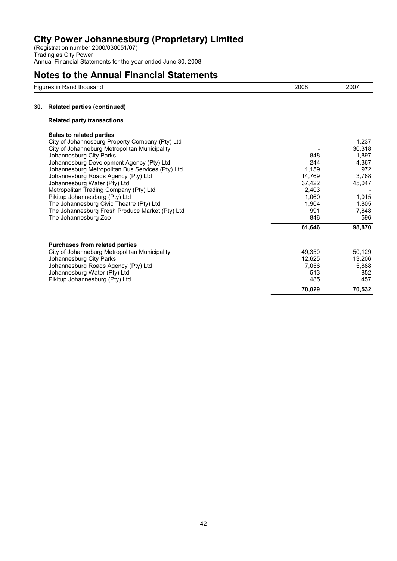(Registration number 2000/030051/07) Trading as City Power Annual Financial Statements for the year ended June 30, 2008

# **Notes to the Annual Financial Statements**

|     | Figures in Rand thousand                         | 2008       | 2007       |
|-----|--------------------------------------------------|------------|------------|
| 30. | <b>Related parties (continued)</b>               |            |            |
|     | <b>Related party transactions</b>                |            |            |
|     | Sales to related parties                         |            |            |
|     | City of Johannesburg Property Company (Pty) Ltd  |            | 1,237      |
|     | City of Johanneburg Metropolitan Municipality    |            | 30,318     |
|     | Johannesburg City Parks                          | 848        | 1,897      |
|     | Johannesburg Development Agency (Pty) Ltd        | 244        | 4,367      |
|     | Johannesburg Metropolitan Bus Services (Pty) Ltd | 1,159      | 972        |
|     | Johannesburg Roads Agency (Pty) Ltd              | 14.769     | 3.768      |
|     | Johannesburg Water (Pty) Ltd                     | 37.422     | 45,047     |
|     | Metropolitan Trading Company (Pty) Ltd           | 2,403      |            |
|     | Pikitup Johannesburg (Pty) Ltd                   | 1,060      | 1,015      |
|     | The Johannesburg Civic Theatre (Pty) Ltd         | 1,904      | 1,805      |
|     | The Johannesburg Fresh Produce Market (Pty) Ltd  | 991        | 7,848      |
|     | The Johannesburg Zoo                             | 846        | 596        |
|     |                                                  | 61,646     | 98,870     |
|     |                                                  |            |            |
|     | <b>Purchases from related parties</b>            | 49,350     | 50,129     |
|     | City of Johanneburg Metropolitan Municipality    | 12.625     |            |
|     | Johannesburg City Parks                          |            | 13,206     |
|     | Johannesburg Roads Agency (Pty) Ltd              | 7,056      | 5,888      |
|     | Johannesburg Water (Pty) Ltd                     | 513<br>485 | 852<br>457 |
|     | Pikitup Johannesburg (Pty) Ltd                   |            |            |
|     |                                                  | 70,029     | 70,532     |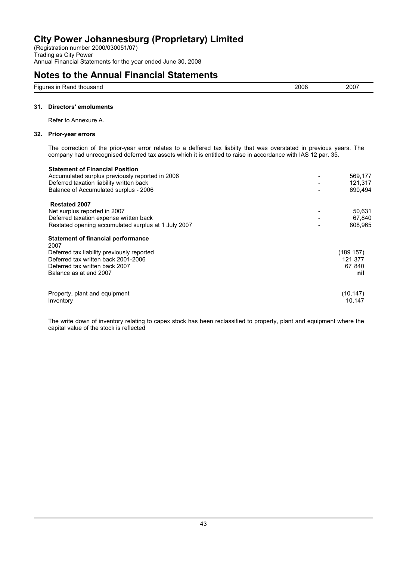(Registration number 2000/030051/07) Trading as City Power Annual Financial Statements for the year ended June 30, 2008

### **Notes to the Annual Financial Statements**

| - -<br>thousand<br>Figures<br>Rand<br><b>11</b><br>- 11 1 | 2008 | 2007<br>--- |
|-----------------------------------------------------------|------|-------------|
|                                                           |      |             |

### **31. Directors' emoluments**

Refer to Annexure A.

#### **32. Prior-year errors**

The correction of the prior-year error relates to a deffered tax liabilty that was overstated in previous years. The company had unrecognised deferred tax assets which it is entitled to raise in accordance with IAS 12 par. 35.

| <b>Statement of Financial Position</b>              |                          |           |
|-----------------------------------------------------|--------------------------|-----------|
| Accumulated surplus previously reported in 2006     |                          | 569,177   |
| Deferred taxation liability written back            | $\overline{\phantom{a}}$ | 121,317   |
| Balance of Accumulated surplus - 2006               | -                        | 690.494   |
| <b>Restated 2007</b>                                |                          |           |
| Net surplus reported in 2007                        |                          | 50,631    |
| Deferred taxation expense written back              |                          | 67,840    |
| Restated opening accumulated surplus at 1 July 2007 |                          | 808,965   |
| <b>Statement of financial performance</b><br>2007   |                          |           |
| Deferred tax liability previously reported          |                          | (189 157) |
| Deferred tax written back 2001-2006                 |                          | 121 377   |
| Deferred tax written back 2007                      |                          | 67 840    |
| Balance as at end 2007                              |                          | nil       |
| Property, plant and equipment                       |                          | (10, 147) |
| Inventory                                           |                          | 10.147    |

The write down of inventory relating to capex stock has been reclassified to property, plant and equipment where the capital value of the stock is reflected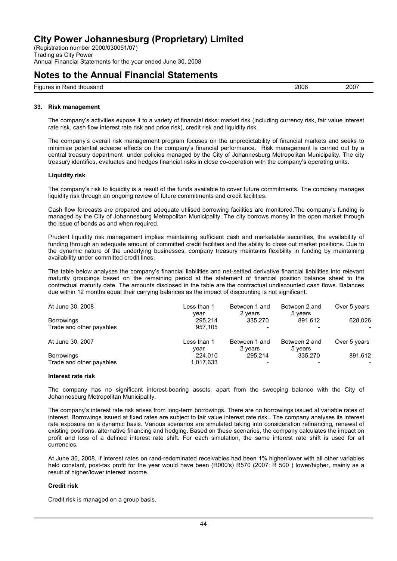(Registration number 2000/030051/07) Trading as City Power Annual Financial Statements for the year ended June 30, 2008

### **Notes to the Annual Financial Statements**

Figures in Rand thousand 2008 2007

#### **33. Risk management**

The company's activities expose it to a variety of financial risks: market risk (including currency risk, fair value interest rate risk, cash flow interest rate risk and price risk), credit risk and liquidity risk.

The company's overall risk management program focuses on the unpredictability of financial markets and seeks to minimise potential adverse effects on the company's financial performance. Risk management is carried out by a central treasury department under policies managed by the City of Johannesburg Metropolitan Municipality. The city treasury identifies, evaluates and hedges financial risks in close co-operation with the company's operating units.

#### **Liquidity risk**

The company's risk to liquidity is a result of the funds available to cover future commitments. The company manages liquidity risk through an ongoing review of future commitments and credit facilities.

Cash flow forecasts are prepared and adequate utilised borrowing facilities are monitored.The company's funding is managed by the City of Johannesburg Metropolitan Municipality. The city borrows money in the open market through the issue of bonds as and when required.

Prudent liquidity risk management implies maintaining sufficient cash and marketable securities, the availability of funding through an adequate amount of committed credit facilities and the ability to close out market positions. Due to the dynamic nature of the underlying businesses, company treasury maintains flexibility in funding by maintaining availability under committed credit lines.

The table below analyses the company's financial liabilities and net-settled derivative financial liabilities into relevant maturity groupings based on the remaining period at the statement of financial position balance sheet to the contractual maturity date. The amounts disclosed in the table are the contractual undiscounted cash flows. Balances due within 12 months equal their carrying balances as the impact of discounting is not significant.

| At June 30, 2008         | Less than 1<br>vear | Between 1 and<br>2 years | Between 2 and<br>5 years | Over 5 years |
|--------------------------|---------------------|--------------------------|--------------------------|--------------|
| <b>Borrowings</b>        | 295.214             | 335,270                  | 891.612                  | 628,026      |
| Trade and other payables | 957.105             |                          |                          |              |
| At June 30, 2007         | Less than 1         | Between 1 and            | Between 2 and            | Over 5 years |
|                          | vear                | 2 years                  | 5 years                  |              |
| <b>Borrowings</b>        | 224,010             | 295.214                  | 335,270                  | 891,612      |
| Trade and other payables | 1,017,633           |                          |                          |              |

#### **Interest rate risk**

The company has no significant interest-bearing assets, apart from the sweeping balance with the City of Johannesburg Metropolitan Municipality.

The company's interest rate risk arises from long-term borrowings. There are no borrowings issued at variable rates of interest. Borrowings issued at fixed rates are subject to fair value interest rate risk.. The company analyses its interest rate exposure on a dynamic basis. Various scenarios are simulated taking into consideration refinancing, renewal of existing positions, alternative financing and hedging. Based on these scenarios, the company calculates the impact on profit and loss of a defined interest rate shift. For each simulation, the same interest rate shift is used for all currencies.

At June 30, 2008, if interest rates on rand-redominated receivables had been 1% higher/lower with all other variables held constant, post-tax profit for the year would have been (R000's) R570 (2007: R 500) lower/higher, mainly as a result of higher/lower interest income.

### **Credit risk**

Credit risk is managed on a group basis.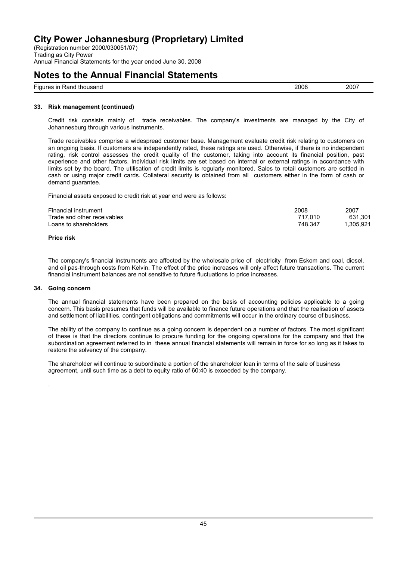(Registration number 2000/030051/07) Trading as City Power Annual Financial Statements for the year ended June 30, 2008

### **Notes to the Annual Financial Statements**

Figures in Rand thousand 2008 2007

#### **33. Risk management (continued)**

Credit risk consists mainly of trade receivables. The company's investments are managed by the City of Johannesburg through various instruments.

Trade receivables comprise a widespread customer base. Management evaluate credit risk relating to customers on an ongoing basis. If customers are independently rated, these ratings are used. Otherwise, if there is no independent rating, risk control assesses the credit quality of the customer, taking into account its financial position, past experience and other factors. Individual risk limits are set based on internal or external ratings in accordance with limits set by the board. The utilisation of credit limits is regularly monitored. Sales to retail customers are settled in cash or using major credit cards. Collateral security is obtained from all customers either in the form of cash or demand guarantee.

Financial assets exposed to credit risk at year end were as follows:

| Financial instrument        | 2008    | 2007      |
|-----------------------------|---------|-----------|
| Trade and other receivables | 717.010 | 631.301   |
| Loans to shareholders       | 748.347 | 1.305.921 |
|                             |         |           |

#### **Price risk**

The company's financial instruments are affected by the wholesale price of electricity from Eskom and coal, diesel, and oil pas-through costs from Kelvin. The effect of the price increases will only affect future transactions. The current financial instrument balances are not sensitive to future fluctuations to price increases.

#### **34. Going concern**

.

The annual financial statements have been prepared on the basis of accounting policies applicable to a going concern. This basis presumes that funds will be available to finance future operations and that the realisation of assets and settlement of liabilities, contingent obligations and commitments will occur in the ordinary course of business.

The ability of the company to continue as a going concern is dependent on a number of factors. The most significant of these is that the directors continue to procure funding for the ongoing operations for the company and that the subordination agreement referred to in these annual financial statements will remain in force for so long as it takes to restore the solvency of the company.

The shareholder will continue to subordinate a portion of the shareholder loan in terms of the sale of business agreement, until such time as a debt to equity ratio of 60:40 is exceeded by the company.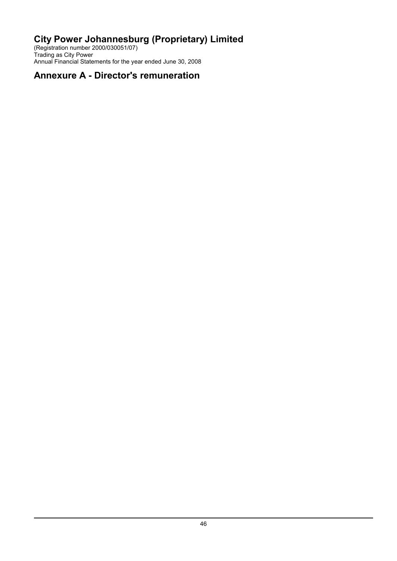(Registration number 2000/030051/07) Trading as City Power Annual Financial Statements for the year ended June 30, 2008

### **Annexure A - Director's remuneration**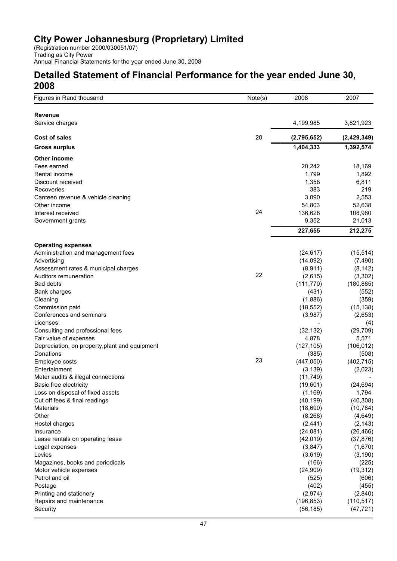(Registration number 2000/030051/07) Trading as City Power Annual Financial Statements for the year ended June 30, 2008

### **Detailed Statement of Financial Performance for the year ended June 30, 2008**

| Figures in Rand thousand                       | Note(s) | 2008        | 2007        |
|------------------------------------------------|---------|-------------|-------------|
| <b>Revenue</b>                                 |         |             |             |
| Service charges                                |         | 4,199,985   | 3,821,923   |
| <b>Cost of sales</b>                           | 20      | (2,795,652) | (2,429,349) |
| <b>Gross surplus</b>                           |         | 1,404,333   | 1,392,574   |
| Other income                                   |         |             |             |
| Fees earned                                    |         | 20,242      | 18,169      |
| Rental income                                  |         | 1,799       | 1,892       |
| Discount received                              |         | 1,358       | 6,811       |
| Recoveries                                     |         | 383         | 219         |
| Canteen revenue & vehicle cleaning             |         | 3,090       | 2,553       |
| Other income                                   |         | 54,803      | 52,638      |
| Interest received                              | 24      | 136,628     | 108,980     |
| Government grants                              |         | 9,352       | 21,013      |
|                                                |         | 227,655     | 212,275     |
| <b>Operating expenses</b>                      |         |             |             |
| Administration and management fees             |         | (24, 617)   | (15, 514)   |
| Advertising                                    |         | (14,092)    | (7, 490)    |
| Assessment rates & municipal charges           |         | (8,911)     | (8, 142)    |
| Auditors remuneration                          | 22      | (2,615)     | (3,302)     |
| <b>Bad debts</b>                               |         | (111, 770)  | (180, 885)  |
| Bank charges                                   |         | (431)       | (552)       |
| Cleaning                                       |         | (1,886)     | (359)       |
| Commission paid                                |         | (18, 552)   | (15, 138)   |
| Conferences and seminars                       |         | (3,987)     | (2,653)     |
| Licenses                                       |         |             | (4)         |
| Consulting and professional fees               |         | (32, 132)   | (29, 709)   |
| Fair value of expenses                         |         | 4,878       | 5,571       |
| Depreciation, on property, plant and equipment |         | (127, 105)  | (106, 012)  |
| Donations                                      |         | (385)       | (508)       |
| Employee costs                                 | 23      | (447, 050)  | (402, 715)  |
| Entertainment                                  |         | (3, 139)    | (2,023)     |
| Meter audits & illegal connections             |         | (11, 749)   |             |
| Basic free electricity                         |         | (19,601)    | (24, 694)   |
| Loss on disposal of fixed assets               |         | (1, 169)    | 1,794       |
| Cut off fees & final readings                  |         | (40, 199)   | (40, 308)   |
| <b>Materials</b>                               |         | (18,690)    | (10, 784)   |
| Other                                          |         | (8, 268)    | (4,649)     |
| Hostel charges                                 |         | (2, 441)    | (2, 143)    |
| Insurance                                      |         | (24,081)    | (26, 466)   |
| Lease rentals on operating lease               |         | (42, 019)   | (37, 876)   |
| Legal expenses                                 |         | (3, 847)    | (1,670)     |
| Levies                                         |         | (3,619)     | (3, 190)    |
| Magazines, books and periodicals               |         | (166)       | (225)       |
| Motor vehicle expenses                         |         | (24, 909)   | (19, 312)   |
| Petrol and oil                                 |         | (525)       | (606)       |
| Postage                                        |         | (402)       | (455)       |
| Printing and stationery                        |         | (2,974)     | (2,840)     |
| Repairs and maintenance                        |         | (196, 853)  | (110, 517)  |
| Security                                       |         | (56, 185)   | (47, 721)   |
|                                                |         |             |             |